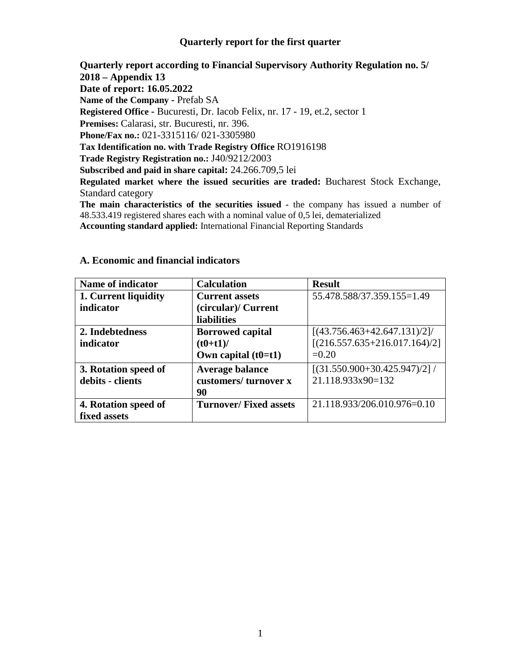#### **Quarterly report for the first quarter**

**Quarterly report according to Financial Supervisory Authority Regulation no. 5/ 2018 – Appendix 13 Date of report: 16.05.2022 Name of the Company -** Prefab SA **Registered Office -** Bucuresti, Dr. Iacob Felix, nr. 17 - 19, et.2, sector 1 **Premises:** Calarasi, str. Bucuresti, nr. 396. **Phone/Fax no.:** 021-3315116/ 021-3305980 **Tax Identification no. with Trade Registry Office** RO1916198 **Trade Registry Registration no.:** J40/9212/2003 **Subscribed and paid in share capital:** 24.266.709,5 lei **Regulated market where the issued securities are traded:** Bucharest Stock Exchange, Standard category **The main characteristics of the securities issued -** the company has issued a number of

48.533.419 registered shares each with a nominal value of 0,5 lei, dematerialized **Accounting standard applied:** International Financial Reporting Standards

| Name of indicator    | <b>Calculation</b>           | <b>Result</b>                    |
|----------------------|------------------------------|----------------------------------|
| 1. Current liquidity | <b>Current assets</b>        | 55.478.588/37.359.155=1.49       |
| indicator            | (circular)/ Current          |                                  |
|                      | <b>liabilities</b>           |                                  |
| 2. Indebtedness      | <b>Borrowed capital</b>      | $[(43.756.463 + 42.647.131)/2]$  |
| indicator            | $(t0+t1)$ /                  | $[(216.557.635+216.017.164)/2]$  |
|                      | Own capital $(t0=t1)$        | $=0.20$                          |
| 3. Rotation speed of | <b>Average balance</b>       | $[(31.550.900 + 30.425.947)/2]/$ |
| debits - clients     | customers/turnover x         | 21.118.933x90=132                |
|                      | 90                           |                                  |
| 4. Rotation speed of | <b>Turnover/Fixed assets</b> | 21.118.933/206.010.976=0.10      |
| fixed assets         |                              |                                  |

#### **A. Economic and financial indicators**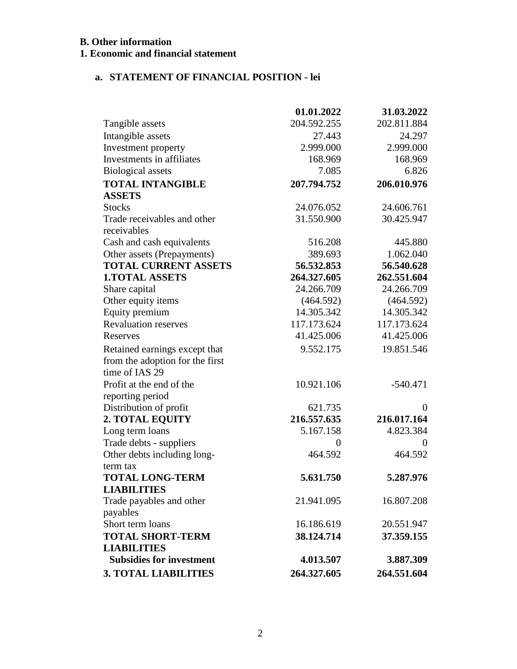# **B. Other information**

# **1. Economic and financial statement**

# **a. STATEMENT OF FINANCIAL POSITION - lei**

|                                 | 01.01.2022  | 31.03.2022     |
|---------------------------------|-------------|----------------|
| Tangible assets                 | 204.592.255 | 202.811.884    |
| Intangible assets               | 27.443      | 24.297         |
| Investment property             | 2.999.000   | 2.999.000      |
| Investments in affiliates       | 168.969     | 168.969        |
| <b>Biological</b> assets        | 7.085       | 6.826          |
| <b>TOTAL INTANGIBLE</b>         | 207.794.752 | 206.010.976    |
| <b>ASSETS</b>                   |             |                |
| <b>Stocks</b>                   | 24.076.052  | 24.606.761     |
| Trade receivables and other     | 31.550.900  | 30.425.947     |
| receivables                     |             |                |
| Cash and cash equivalents       | 516.208     | 445.880        |
| Other assets (Prepayments)      | 389.693     | 1.062.040      |
| <b>TOTAL CURRENT ASSETS</b>     | 56.532.853  | 56.540.628     |
| <b>1.TOTAL ASSETS</b>           | 264.327.605 | 262.551.604    |
| Share capital                   | 24.266.709  | 24.266.709     |
| Other equity items              | (464.592)   | (464.592)      |
| Equity premium                  | 14.305.342  | 14.305.342     |
| <b>Revaluation reserves</b>     | 117.173.624 | 117.173.624    |
| Reserves                        | 41.425.006  | 41.425.006     |
| Retained earnings except that   | 9.552.175   | 19.851.546     |
| from the adoption for the first |             |                |
| time of IAS 29                  |             |                |
| Profit at the end of the        | 10.921.106  | $-540.471$     |
| reporting period                |             |                |
| Distribution of profit          | 621.735     | $\Omega$       |
| 2. TOTAL EQUITY                 | 216.557.635 | 216.017.164    |
| Long term loans                 | 5.167.158   | 4.823.384      |
| Trade debts - suppliers         | $\theta$    | $\overline{0}$ |
| Other debts including long-     | 464.592     | 464.592        |
| term tax                        |             |                |
| <b>TOTAL LONG-TERM</b>          | 5.631.750   | 5.287.976      |
| <b>LIABILITIES</b>              |             |                |
| Trade payables and other        | 21.941.095  | 16.807.208     |
| payables                        |             |                |
| Short term loans                | 16.186.619  | 20.551.947     |
| <b>TOTAL SHORT-TERM</b>         | 38.124.714  | 37.359.155     |
| <b>LIABILITIES</b>              |             |                |
| <b>Subsidies for investment</b> | 4.013.507   | 3.887.309      |
| <b>3. TOTAL LIABILITIES</b>     | 264.327.605 | 264.551.604    |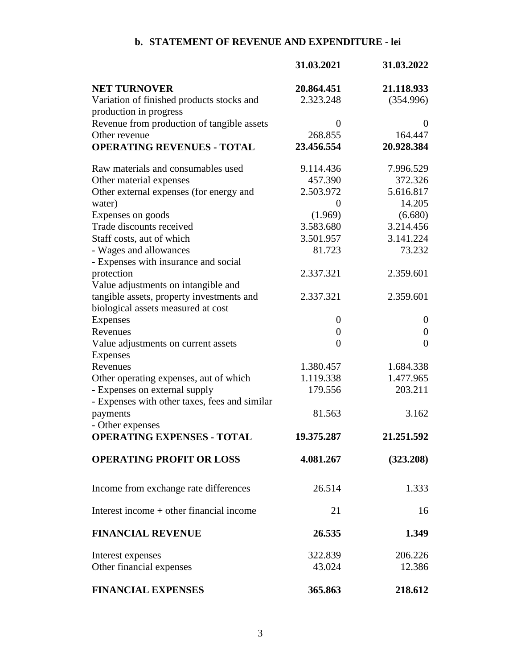# **b. STATEMENT OF REVENUE AND EXPENDITURE - lei**

|                                                                     | 31.03.2021       | 31.03.2022       |
|---------------------------------------------------------------------|------------------|------------------|
| <b>NET TURNOVER</b>                                                 | 20.864.451       | 21.118.933       |
| Variation of finished products stocks and<br>production in progress | 2.323.248        | (354.996)        |
| Revenue from production of tangible assets                          | $\overline{0}$   | $\theta$         |
| Other revenue                                                       | 268.855          | 164.447          |
| <b>OPERATING REVENUES - TOTAL</b>                                   | 23.456.554       | 20.928.384       |
| Raw materials and consumables used                                  | 9.114.436        | 7.996.529        |
| Other material expenses                                             | 457.390          | 372.326          |
| Other external expenses (for energy and                             | 2.503.972        | 5.616.817        |
| water)                                                              | $\overline{0}$   | 14.205           |
| Expenses on goods                                                   | (1.969)          | (6.680)          |
| Trade discounts received                                            | 3.583.680        | 3.214.456        |
| Staff costs, aut of which                                           | 3.501.957        | 3.141.224        |
| - Wages and allowances                                              | 81.723           | 73.232           |
| - Expenses with insurance and social                                |                  |                  |
| protection                                                          | 2.337.321        | 2.359.601        |
| Value adjustments on intangible and                                 |                  |                  |
| tangible assets, property investments and                           | 2.337.321        | 2.359.601        |
| biological assets measured at cost                                  |                  |                  |
|                                                                     |                  |                  |
| Expenses                                                            | $\overline{0}$   | $\boldsymbol{0}$ |
| Revenues                                                            | $\boldsymbol{0}$ | $\boldsymbol{0}$ |
| Value adjustments on current assets                                 | $\overline{0}$   | $\overline{0}$   |
| <b>Expenses</b>                                                     |                  |                  |
| Revenues                                                            | 1.380.457        | 1.684.338        |
| Other operating expenses, aut of which                              | 1.119.338        | 1.477.965        |
| - Expenses on external supply                                       | 179.556          | 203.211          |
| - Expenses with other taxes, fees and similar                       |                  |                  |
| payments                                                            | 81.563           | 3.162            |
| - Other expenses                                                    |                  |                  |
| <b>OPERATING EXPENSES - TOTAL</b>                                   | 19.375.287       | 21.251.592       |
| <b>OPERATING PROFIT OR LOSS</b>                                     | 4.081.267        | (323.208)        |
| Income from exchange rate differences                               | 26.514           | 1.333            |
| Interest income $+$ other financial income                          | 21               | 16               |
| <b>FINANCIAL REVENUE</b>                                            | 26.535           | 1.349            |
| Interest expenses                                                   | 322.839          | 206.226          |
| Other financial expenses                                            | 43.024           | 12.386           |
| <b>FINANCIAL EXPENSES</b>                                           | 365.863          | 218.612          |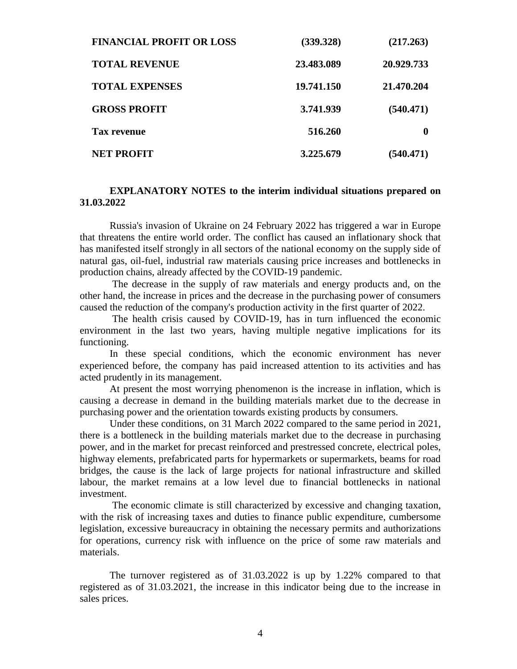| <b>FINANCIAL PROFIT OR LOSS</b> | (339.328)  | (217.263)  |
|---------------------------------|------------|------------|
| <b>TOTAL REVENUE</b>            | 23.483.089 | 20.929.733 |
| <b>TOTAL EXPENSES</b>           | 19.741.150 | 21.470.204 |
| <b>GROSS PROFIT</b>             | 3.741.939  | (540.471)  |
| Tax revenue                     | 516.260    | 0          |
| <b>NET PROFIT</b>               | 3.225.679  | (540.471)  |

#### **EXPLANATORY NOTES to the interim individual situations prepared on 31.03.2022**

Russia's invasion of Ukraine on 24 February 2022 has triggered a war in Europe that threatens the entire world order. The conflict has caused an inflationary shock that has manifested itself strongly in all sectors of the national economy on the supply side of natural gas, oil-fuel, industrial raw materials causing price increases and bottlenecks in production chains, already affected by the COVID-19 pandemic.

The decrease in the supply of raw materials and energy products and, on the other hand, the increase in prices and the decrease in the purchasing power of consumers caused the reduction of the company's production activity in the first quarter of 2022.

The health crisis caused by COVID-19, has in turn influenced the economic environment in the last two years, having multiple negative implications for its functioning.

In these special conditions, which the economic environment has never experienced before, the company has paid increased attention to its activities and has acted prudently in its management.

At present the most worrying phenomenon is the increase in inflation, which is causing a decrease in demand in the building materials market due to the decrease in purchasing power and the orientation towards existing products by consumers.

Under these conditions, on 31 March 2022 compared to the same period in 2021, there is a bottleneck in the building materials market due to the decrease in purchasing power, and in the market for precast reinforced and prestressed concrete, electrical poles, highway elements, prefabricated parts for hypermarkets or supermarkets, beams for road bridges, the cause is the lack of large projects for national infrastructure and skilled labour, the market remains at a low level due to financial bottlenecks in national investment.

The economic climate is still characterized by excessive and changing taxation, with the risk of increasing taxes and duties to finance public expenditure, cumbersome legislation, excessive bureaucracy in obtaining the necessary permits and authorizations for operations, currency risk with influence on the price of some raw materials and materials.

The turnover registered as of 31.03.2022 is up by 1.22% compared to that registered as of 31.03.2021, the increase in this indicator being due to the increase in sales prices.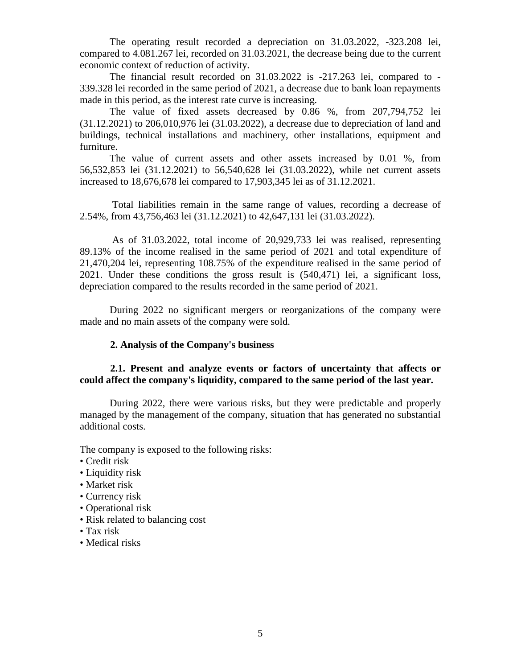The operating result recorded a depreciation on 31.03.2022, -323.208 lei, compared to 4.081.267 lei, recorded on 31.03.2021, the decrease being due to the current economic context of reduction of activity.

The financial result recorded on 31.03.2022 is -217.263 lei, compared to - 339.328 lei recorded in the same period of 2021, a decrease due to bank loan repayments made in this period, as the interest rate curve is increasing.

The value of fixed assets decreased by 0.86 %, from 207,794,752 lei (31.12.2021) to 206,010,976 lei (31.03.2022), a decrease due to depreciation of land and buildings, technical installations and machinery, other installations, equipment and furniture.

The value of current assets and other assets increased by 0.01 %, from 56,532,853 lei (31.12.2021) to 56,540,628 lei (31.03.2022), while net current assets increased to 18,676,678 lei compared to 17,903,345 lei as of 31.12.2021.

Total liabilities remain in the same range of values, recording a decrease of 2.54%, from 43,756,463 lei (31.12.2021) to 42,647,131 lei (31.03.2022).

As of 31.03.2022, total income of 20,929,733 lei was realised, representing 89.13% of the income realised in the same period of 2021 and total expenditure of 21,470,204 lei, representing 108.75% of the expenditure realised in the same period of 2021. Under these conditions the gross result is (540,471) lei, a significant loss, depreciation compared to the results recorded in the same period of 2021.

During 2022 no significant mergers or reorganizations of the company were made and no main assets of the company were sold.

#### **2. Analysis of the Company's business**

#### **2.1. Present and analyze events or factors of uncertainty that affects or could affect the company's liquidity, compared to the same period of the last year.**

 During 2022, there were various risks, but they were predictable and properly managed by the management of the company, situation that has generated no substantial additional costs.

The company is exposed to the following risks:

- Credit risk
- Liquidity risk
- Market risk
- Currency risk
- Operational risk
- Risk related to balancing cost
- Tax risk
- Medical risks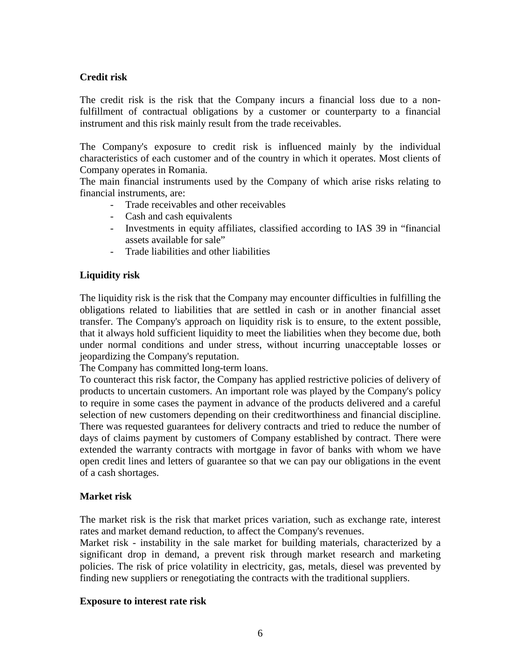# **Credit risk**

The credit risk is the risk that the Company incurs a financial loss due to a nonfulfillment of contractual obligations by a customer or counterparty to a financial instrument and this risk mainly result from the trade receivables.

The Company's exposure to credit risk is influenced mainly by the individual characteristics of each customer and of the country in which it operates. Most clients of Company operates in Romania.

The main financial instruments used by the Company of which arise risks relating to financial instruments, are:

- Trade receivables and other receivables
- Cash and cash equivalents
- Investments in equity affiliates, classified according to IAS 39 in "financial assets available for sale"
- Trade liabilities and other liabilities

# **Liquidity risk**

The liquidity risk is the risk that the Company may encounter difficulties in fulfilling the obligations related to liabilities that are settled in cash or in another financial asset transfer. The Company's approach on liquidity risk is to ensure, to the extent possible, that it always hold sufficient liquidity to meet the liabilities when they become due, both under normal conditions and under stress, without incurring unacceptable losses or jeopardizing the Company's reputation.

The Company has committed long-term loans.

To counteract this risk factor, the Company has applied restrictive policies of delivery of products to uncertain customers. An important role was played by the Company's policy to require in some cases the payment in advance of the products delivered and a careful selection of new customers depending on their creditworthiness and financial discipline. There was requested guarantees for delivery contracts and tried to reduce the number of days of claims payment by customers of Company established by contract. There were extended the warranty contracts with mortgage in favor of banks with whom we have open credit lines and letters of guarantee so that we can pay our obligations in the event of a cash shortages.

#### **Market risk**

The market risk is the risk that market prices variation, such as exchange rate, interest rates and market demand reduction, to affect the Company's revenues.

Market risk - instability in the sale market for building materials, characterized by a significant drop in demand, a prevent risk through market research and marketing policies. The risk of price volatility in electricity, gas, metals, diesel was prevented by finding new suppliers or renegotiating the contracts with the traditional suppliers.

#### **Exposure to interest rate risk**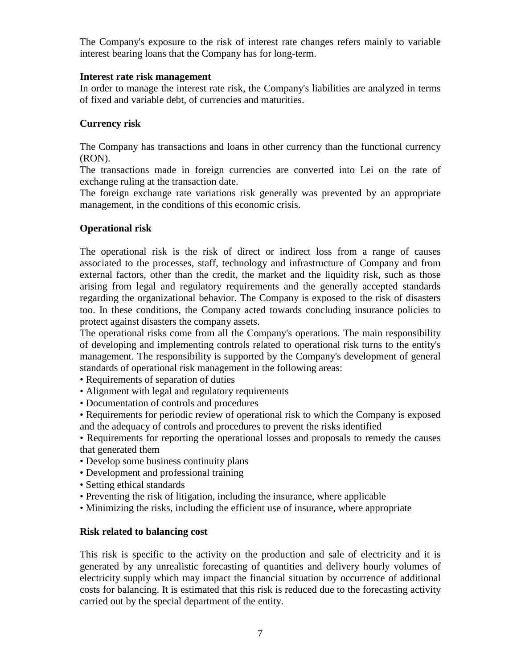The Company's exposure to the risk of interest rate changes refers mainly to variable interest bearing loans that the Company has for long-term.

#### **Interest rate risk management**

In order to manage the interest rate risk, the Company's liabilities are analyzed in terms of fixed and variable debt, of currencies and maturities.

#### **Currency risk**

The Company has transactions and loans in other currency than the functional currency (RON).

The transactions made in foreign currencies are converted into Lei on the rate of exchange ruling at the transaction date.

The foreign exchange rate variations risk generally was prevented by an appropriate management, in the conditions of this economic crisis.

#### **Operational risk**

The operational risk is the risk of direct or indirect loss from a range of causes associated to the processes, staff, technology and infrastructure of Company and from external factors, other than the credit, the market and the liquidity risk, such as those arising from legal and regulatory requirements and the generally accepted standards regarding the organizational behavior. The Company is exposed to the risk of disasters too. In these conditions, the Company acted towards concluding insurance policies to protect against disasters the company assets.

The operational risks come from all the Company's operations. The main responsibility of developing and implementing controls related to operational risk turns to the entity's management. The responsibility is supported by the Company's development of general standards of operational risk management in the following areas:

- Requirements of separation of duties
- Alignment with legal and regulatory requirements
- Documentation of controls and procedures

• Requirements for periodic review of operational risk to which the Company is exposed and the adequacy of controls and procedures to prevent the risks identified

• Requirements for reporting the operational losses and proposals to remedy the causes that generated them

- Develop some business continuity plans
- Development and professional training
- Setting ethical standards
- Preventing the risk of litigation, including the insurance, where applicable
- Minimizing the risks, including the efficient use of insurance, where appropriate

#### **Risk related to balancing cost**

This risk is specific to the activity on the production and sale of electricity and it is generated by any unrealistic forecasting of quantities and delivery hourly volumes of electricity supply which may impact the financial situation by occurrence of additional costs for balancing. It is estimated that this risk is reduced due to the forecasting activity carried out by the special department of the entity.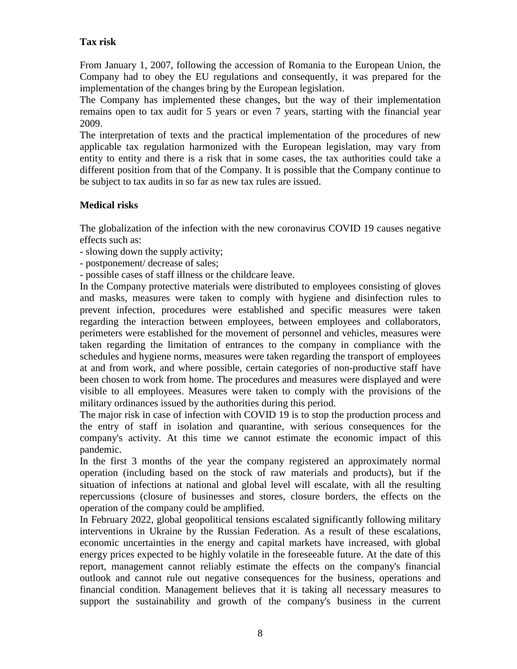## **Tax risk**

From January 1, 2007, following the accession of Romania to the European Union, the Company had to obey the EU regulations and consequently, it was prepared for the implementation of the changes bring by the European legislation.

The Company has implemented these changes, but the way of their implementation remains open to tax audit for 5 years or even 7 years, starting with the financial year 2009.

The interpretation of texts and the practical implementation of the procedures of new applicable tax regulation harmonized with the European legislation, may vary from entity to entity and there is a risk that in some cases, the tax authorities could take a different position from that of the Company. It is possible that the Company continue to be subject to tax audits in so far as new tax rules are issued.

# **Medical risks**

The globalization of the infection with the new coronavirus COVID 19 causes negative effects such as:

- slowing down the supply activity;

- postponement/ decrease of sales;

- possible cases of staff illness or the childcare leave.

In the Company protective materials were distributed to employees consisting of gloves and masks, measures were taken to comply with hygiene and disinfection rules to prevent infection, procedures were established and specific measures were taken regarding the interaction between employees, between employees and collaborators, perimeters were established for the movement of personnel and vehicles, measures were taken regarding the limitation of entrances to the company in compliance with the schedules and hygiene norms, measures were taken regarding the transport of employees at and from work, and where possible, certain categories of non-productive staff have been chosen to work from home. The procedures and measures were displayed and were visible to all employees. Measures were taken to comply with the provisions of the military ordinances issued by the authorities during this period.

The major risk in case of infection with COVID 19 is to stop the production process and the entry of staff in isolation and quarantine, with serious consequences for the company's activity. At this time we cannot estimate the economic impact of this pandemic.

In the first 3 months of the year the company registered an approximately normal operation (including based on the stock of raw materials and products), but if the situation of infections at national and global level will escalate, with all the resulting repercussions (closure of businesses and stores, closure borders, the effects on the operation of the company could be amplified.

In February 2022, global geopolitical tensions escalated significantly following military interventions in Ukraine by the Russian Federation. As a result of these escalations, economic uncertainties in the energy and capital markets have increased, with global energy prices expected to be highly volatile in the foreseeable future. At the date of this report, management cannot reliably estimate the effects on the company's financial outlook and cannot rule out negative consequences for the business, operations and financial condition. Management believes that it is taking all necessary measures to support the sustainability and growth of the company's business in the current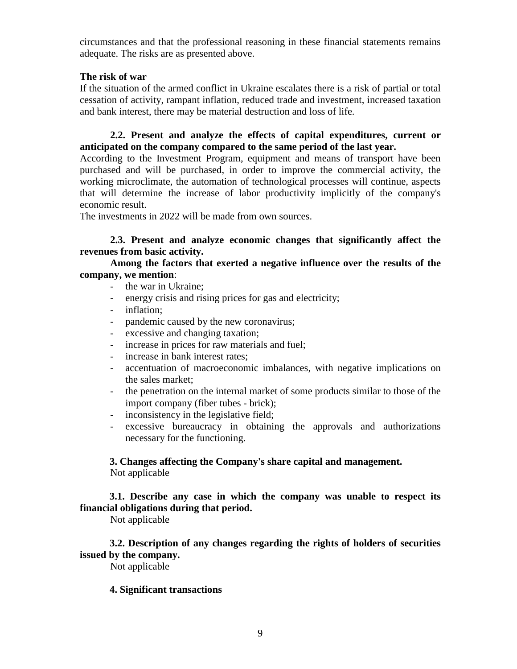circumstances and that the professional reasoning in these financial statements remains adequate. The risks are as presented above.

#### **The risk of war**

If the situation of the armed conflict in Ukraine escalates there is a risk of partial or total cessation of activity, rampant inflation, reduced trade and investment, increased taxation and bank interest, there may be material destruction and loss of life.

**2.2. Present and analyze the effects of capital expenditures, current or anticipated on the company compared to the same period of the last year.**

According to the Investment Program, equipment and means of transport have been purchased and will be purchased, in order to improve the commercial activity, the working microclimate, the automation of technological processes will continue, aspects that will determine the increase of labor productivity implicitly of the company's economic result.

The investments in 2022 will be made from own sources.

#### **2.3. Present and analyze economic changes that significantly affect the revenues from basic activity.**

#### **Among the factors that exerted a negative influence over the results of the company, we mention**:

- the war in Ukraine;
- energy crisis and rising prices for gas and electricity;
- inflation;
- pandemic caused by the new coronavirus;
- excessive and changing taxation;
- increase in prices for raw materials and fuel;
- increase in bank interest rates:
- accentuation of macroeconomic imbalances, with negative implications on the sales market;
- the penetration on the internal market of some products similar to those of the import company (fiber tubes - brick);
- inconsistency in the legislative field;
- excessive bureaucracy in obtaining the approvals and authorizations necessary for the functioning.

#### **3. Changes affecting the Company's share capital and management.** Not applicable

# **3.1. Describe any case in which the company was unable to respect its financial obligations during that period.**

Not applicable

 **3.2. Description of any changes regarding the rights of holders of securities issued by the company.**

Not applicable

#### **4. Significant transactions**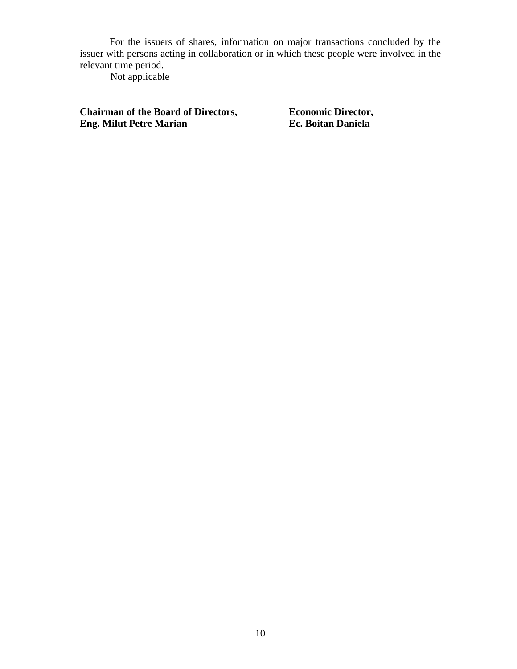For the issuers of shares, information on major transactions concluded by the issuer with persons acting in collaboration or in which these people were involved in the relevant time period.

Not applicable

**Chairman of the Board of Directors, <br>
Economic Director,<br>
<b>Ec. Boitan Daniela**<br> **Ec. Boitan Daniela Eng. Milut Petre Marian**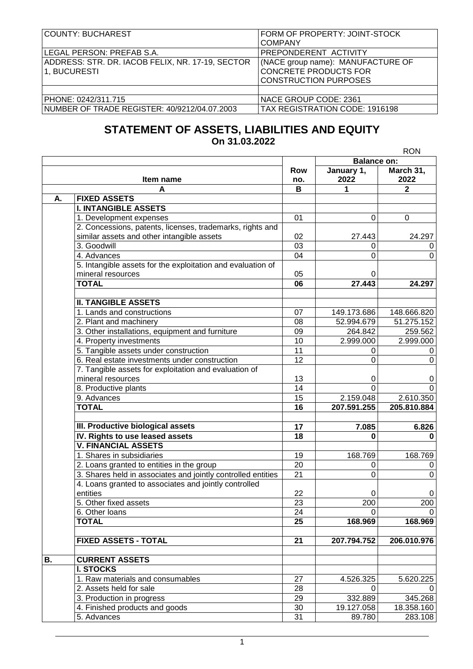| COUNTY: BUCHAREST                                                | FORM OF PROPERTY: JOINT-STOCK<br><b>COMPANY</b>                                                   |  |  |
|------------------------------------------------------------------|---------------------------------------------------------------------------------------------------|--|--|
| LEGAL PERSON: PREFAB S.A.                                        | PREPONDERENT ACTIVITY                                                                             |  |  |
| ADDRESS: STR. DR. IACOB FELIX, NR. 17-19, SECTOR<br>1, BUCURESTI | (NACE group name): MANUFACTURE OF<br><b>CONCRETE PRODUCTS FOR</b><br><b>CONSTRUCTION PURPOSES</b> |  |  |
|                                                                  |                                                                                                   |  |  |
| PHONE: 0242/311.715                                              | NACE GROUP CODE: 2361                                                                             |  |  |
| NUMBER OF TRADE REGISTER: 40/9212/04.07.2003                     | TAX REGISTRATION CODE: 1916198                                                                    |  |  |

# **STATEMENT OF ASSETS, LIABILITIES AND EQUITY On 31.03.2022**

|           |                                                              |                   | <b>RON</b>         |                   |  |
|-----------|--------------------------------------------------------------|-------------------|--------------------|-------------------|--|
|           |                                                              |                   | <b>Balance on:</b> |                   |  |
|           | Item name                                                    | <b>Row</b><br>no. | January 1,<br>2022 | March 31,<br>2022 |  |
|           | A                                                            | В                 | 1                  | $\mathbf{2}$      |  |
| Α.        | <b>FIXED ASSETS</b>                                          |                   |                    |                   |  |
|           | <b>I. INTANGIBLE ASSETS</b>                                  |                   |                    |                   |  |
|           | 1. Development expenses                                      | 01                | 0                  | 0                 |  |
|           | 2. Concessions, patents, licenses, trademarks, rights and    |                   |                    |                   |  |
|           | similar assets and other intangible assets                   | 02                | 27.443             | 24.297            |  |
|           | 3. Goodwill                                                  | 03                | 0                  | 0                 |  |
|           | 4. Advances                                                  | 04                | 0                  | 0                 |  |
|           | 5. Intangible assets for the exploitation and evaluation of  |                   |                    |                   |  |
|           | mineral resources                                            | 05                | 0                  |                   |  |
|           | <b>TOTAL</b>                                                 | 06                | 27.443             | 24.297            |  |
|           | <b>II. TANGIBLE ASSETS</b>                                   |                   |                    |                   |  |
|           | 1. Lands and constructions                                   | 07                | 149.173.686        | 148.666.820       |  |
|           | 2. Plant and machinery                                       | 08                | 52.994.679         | 51.275.152        |  |
|           | 3. Other installations, equipment and furniture              | 09                | 264.842            | 259.562           |  |
|           | 4. Property investments                                      | 10                | 2.999.000          | 2.999.000         |  |
|           | 5. Tangible assets under construction                        | 11                | 0                  | 0                 |  |
|           | 6. Real estate investments under construction                | 12                | 0                  | 0                 |  |
|           | 7. Tangible assets for exploitation and evaluation of        |                   |                    |                   |  |
|           | mineral resources                                            | 13                | 0                  | 0                 |  |
|           | 8. Productive plants                                         | 14                | $\overline{0}$     | 0                 |  |
|           | 9. Advances                                                  | 15                | 2.159.048          | 2.610.350         |  |
|           | <b>TOTAL</b>                                                 | $\overline{16}$   | 207.591.255        | 205.810.884       |  |
|           |                                                              |                   |                    |                   |  |
|           | III. Productive biological assets                            | 17                | 7.085              | 6.826             |  |
|           | IV. Rights to use leased assets                              | 18                | 0                  | 0                 |  |
|           | <b>V. FINANCIAL ASSETS</b>                                   |                   |                    |                   |  |
|           | 1. Shares in subsidiaries                                    | 19                | 168.769            | 168.769           |  |
|           | 2. Loans granted to entities in the group                    | 20                | 0                  | 0                 |  |
|           | 3. Shares held in associates and jointly controlled entities | $\overline{21}$   | 0                  | 0                 |  |
|           | 4. Loans granted to associates and jointly controlled        |                   |                    |                   |  |
|           | entities                                                     | 22                | 0                  | 0                 |  |
|           | 5. Other fixed assets                                        | 23                | $\overline{200}$   | $\overline{200}$  |  |
|           | 6. Other loans                                               | 24                | 0                  | $\mathbf 0$       |  |
|           | <b>TOTAL</b>                                                 | 25                | 168.969            | 168.969           |  |
|           |                                                              |                   |                    |                   |  |
|           | <b>FIXED ASSETS - TOTAL</b>                                  | 21                | 207.794.752        | 206.010.976       |  |
| <b>B.</b> | <b>CURRENT ASSETS</b>                                        |                   |                    |                   |  |
|           | <b>I. STOCKS</b>                                             |                   |                    |                   |  |
|           | 1. Raw materials and consumables                             | 27                | 4.526.325          | 5.620.225         |  |
|           | 2. Assets held for sale                                      | 28                | 0                  | 0                 |  |
|           | 3. Production in progress                                    | 29                | 332.889            | 345.268           |  |
|           | 4. Finished products and goods                               | 30                | 19.127.058         | 18.358.160        |  |
|           | 5. Advances                                                  | 31                | 89.780             | 283.108           |  |
|           |                                                              |                   |                    |                   |  |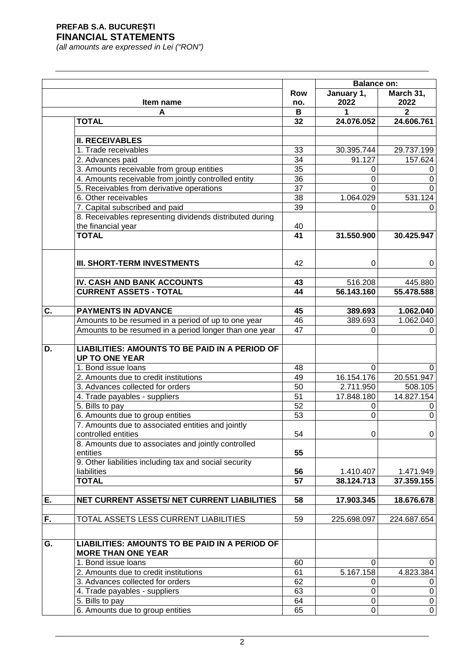|    |                                                                                |                 | <b>Balance on:</b>    |                       |
|----|--------------------------------------------------------------------------------|-----------------|-----------------------|-----------------------|
|    | Item name                                                                      | Row<br>no.      | January 1,<br>2022    | March 31,<br>2022     |
|    | A                                                                              | В               |                       | 2                     |
|    | <b>TOTAL</b>                                                                   | 32              | 24.076.052            | 24.606.761            |
|    |                                                                                |                 |                       |                       |
|    | <b>II. RECEIVABLES</b>                                                         |                 |                       |                       |
|    | 1. Trade receivables                                                           | 33              | 30.395.744            | 29.737.199            |
|    | 2. Advances paid                                                               | 34              | 91.127                | 157.624               |
|    | 3. Amounts receivable from group entities                                      | $\overline{35}$ | 0                     | 0                     |
|    | 4. Amounts receivable from jointly controlled entity                           | 36              | 0                     | 0                     |
|    | 5. Receivables from derivative operations                                      | 37              | 0                     | 0                     |
|    | 6. Other receivables                                                           | 38              | 1.064.029             | 531.124               |
|    | 7. Capital subscribed and paid                                                 | $\overline{39}$ | 0                     | 0                     |
|    | 8. Receivables representing dividends distributed during                       |                 |                       |                       |
|    | the financial year                                                             | 40              |                       |                       |
|    | <b>TOTAL</b>                                                                   | 41              | 31.550.900            | 30.425.947            |
|    | <b>III. SHORT-TERM INVESTMENTS</b>                                             | 42              | $\Omega$              | 0                     |
|    | IV. CASH AND BANK ACCOUNTS                                                     | 43              |                       |                       |
|    | <b>CURRENT ASSETS - TOTAL</b>                                                  | 44              | 516.208<br>56.143.160 | 445.880<br>55.478.588 |
|    |                                                                                |                 |                       |                       |
| C. | <b>PAYMENTS IN ADVANCE</b>                                                     | 45              | 389.693               | 1.062.040             |
|    | Amounts to be resumed in a period of up to one year                            | 46              | 389.693               | 1.062.040             |
|    | Amounts to be resumed in a period longer than one year                         | 47              | 0                     | 0                     |
|    |                                                                                |                 |                       |                       |
| D. | <b>LIABILITIES: AMOUNTS TO BE PAID IN A PERIOD OF</b><br><b>UP TO ONE YEAR</b> |                 |                       |                       |
|    | 1. Bond issue loans                                                            | 48              | $\Omega$              | 0                     |
|    | 2. Amounts due to credit institutions                                          | 49              | 16.154.176            | 20.551.947            |
|    | 3. Advances collected for orders                                               | 50              | 2.711.950             | 508.105               |
|    | 4. Trade payables - suppliers                                                  | 51              | 17.848.180            | 14.827.154            |
|    | 5. Bills to pay                                                                | 52              | 0                     | 0                     |
|    | 6. Amounts due to group entities                                               | 53              | $\overline{0}$        | 0                     |
|    | 7. Amounts due to associated entities and jointly                              |                 |                       |                       |
|    | controlled entities                                                            | 54              | 0                     | 0                     |
|    | 8. Amounts due to associates and jointly controlled<br>entities                | 55              |                       |                       |
|    | 9. Other liabilities including tax and social security                         |                 |                       |                       |
|    | liabilities                                                                    | 56              | 1.410.407             | 1.471.949             |
|    | <b>TOTAL</b>                                                                   | 57              | 38.124.713            | 37.359.155            |
|    |                                                                                |                 |                       |                       |
| Ε. | NET CURRENT ASSETS/ NET CURRENT LIABILITIES                                    | 58              | 17.903.345            | 18.676.678            |
| F. | TOTAL ASSETS LESS CURRENT LIABILITIES                                          | 59              | 225.698.097           | 224.687.654           |
|    | <b>LIABILITIES: AMOUNTS TO BE PAID IN A PERIOD OF</b>                          |                 |                       |                       |
| G. | <b>MORE THAN ONE YEAR</b>                                                      |                 |                       |                       |
|    | 1. Bond issue loans                                                            | 60              | 0                     | 0                     |
|    | 2. Amounts due to credit institutions                                          | 61              | 5.167.158             | 4.823.384             |
|    | 3. Advances collected for orders                                               | 62              | 0                     | 0                     |
|    | 4. Trade payables - suppliers                                                  | 63              | 0                     | $\pmb{0}$             |
|    | 5. Bills to pay                                                                | 64              | 0                     | $\pmb{0}$             |
|    | 6. Amounts due to group entities                                               | 65              | $\pmb{0}$             | $\overline{0}$        |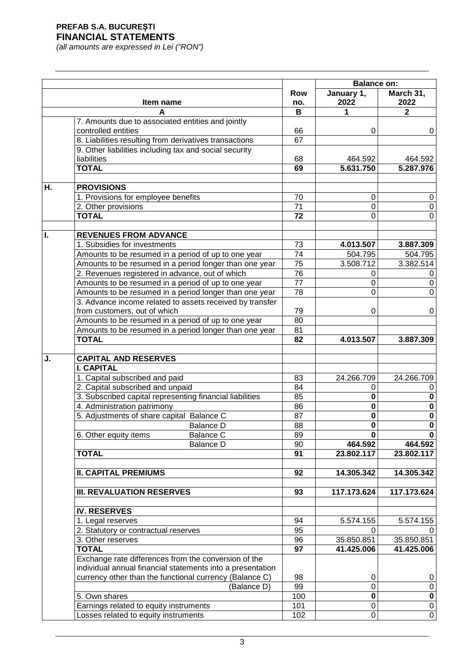|    |                                                                                                               |                   | <b>Balance on:</b>      |                         |
|----|---------------------------------------------------------------------------------------------------------------|-------------------|-------------------------|-------------------------|
|    | Item name                                                                                                     | <b>Row</b><br>no. | January 1,<br>2022      | March 31,<br>2022       |
|    | A                                                                                                             | B                 | 1                       | $\mathbf{2}$            |
|    | 7. Amounts due to associated entities and jointly                                                             |                   |                         |                         |
|    | controlled entities                                                                                           | 66                | $\Omega$                | 0                       |
|    | 8. Liabilities resulting from derivatives transactions                                                        | 67                |                         |                         |
|    | 9. Other liabilities including tax and social security                                                        |                   |                         |                         |
|    | liabilities                                                                                                   | 68                | 464.592                 | 464.592                 |
|    | <b>TOTAL</b>                                                                                                  | 69                | 5.631.750               | 5.287.976               |
|    |                                                                                                               |                   |                         |                         |
| Η. | <b>PROVISIONS</b>                                                                                             |                   |                         |                         |
|    | 1. Provisions for employee benefits                                                                           | 70                | 0                       | 0                       |
|    | 2. Other provisions                                                                                           | 71                | 0                       | 0                       |
|    | <b>TOTAL</b>                                                                                                  | 72                | $\Omega$                | 0                       |
|    |                                                                                                               |                   |                         |                         |
| L  | <b>REVENUES FROM ADVANCE</b><br>1. Subsidies for investments                                                  | 73                |                         |                         |
|    |                                                                                                               | 74                | 4.013.507<br>504.795    | 3.887.309<br>504.795    |
|    | Amounts to be resumed in a period of up to one year<br>Amounts to be resumed in a period longer than one year | 75                | 3.508.712               | 3.382.514               |
|    | 2. Revenues registered in advance, out of which                                                               | 76                | 0                       |                         |
|    | Amounts to be resumed in a period of up to one year                                                           | 77                | $\Omega$                | 0<br>0                  |
|    | Amounts to be resumed in a period longer than one year                                                        | 78                | 0                       | 0                       |
|    | 3. Advance income related to assets received by transfer                                                      |                   |                         |                         |
|    | from customers, out of which                                                                                  | 79                | 0                       | 0                       |
|    | Amounts to be resumed in a period of up to one year                                                           | 80                |                         |                         |
|    | Amounts to be resumed in a period longer than one year                                                        | 81                |                         |                         |
|    | <b>TOTAL</b>                                                                                                  | 82                | 4.013.507               | 3.887.309               |
|    |                                                                                                               |                   |                         |                         |
| J. | <b>CAPITAL AND RESERVES</b>                                                                                   |                   |                         |                         |
|    | <b>I. CAPITAL</b>                                                                                             |                   |                         |                         |
|    | 1. Capital subscribed and paid                                                                                | 83                | 24.266.709              | 24.266.709              |
|    | 2. Capital subscribed and unpaid                                                                              | 84                | 0                       | 0                       |
|    | 3. Subscribed capital representing financial liabilities                                                      | 85                | $\mathbf 0$             | $\mathbf 0$             |
|    | 4. Administration patrimony                                                                                   | 86                | $\pmb{0}$               | $\overline{\mathbf{0}}$ |
|    | 5. Adjustments of share capital Balance C                                                                     | 87                | $\pmb{0}$               | $\overline{\mathbf{0}}$ |
|    | <b>Balance D</b>                                                                                              | 88                | $\overline{\mathbf{0}}$ | $\overline{\mathbf{0}}$ |
|    | 6. Other equity items<br><b>Balance C</b>                                                                     | 89                | 0                       | 0                       |
|    | <b>Balance D</b>                                                                                              | 90                | 464.592                 | 464.592                 |
|    | <b>TOTAL</b>                                                                                                  | 91                | 23.802.117              | 23.802.117              |
|    |                                                                                                               |                   |                         |                         |
|    | <b>II. CAPITAL PREMIUMS</b>                                                                                   | 92                | 14.305.342              | 14.305.342              |
|    |                                                                                                               |                   |                         |                         |
|    | <b>III. REVALUATION RESERVES</b>                                                                              | 93                | 117.173.624             | 117.173.624             |
|    |                                                                                                               |                   |                         |                         |
|    | <b>IV. RESERVES</b>                                                                                           |                   |                         |                         |
|    | 1. Legal reserves                                                                                             | 94                | 5.574.155               | 5.574.155               |
|    | 2. Statutory or contractual reserves                                                                          | 95                | 0                       |                         |
|    | 3. Other reserves                                                                                             | 96                | 35.850.851              | 35.850.851              |
|    | <b>TOTAL</b>                                                                                                  | 97                | 41.425.006              | 41.425.006              |
|    | Exchange rate differences from the conversion of the                                                          |                   |                         |                         |
|    | individual annual financial statements into a presentation                                                    |                   |                         |                         |
|    | currency other than the functional currency (Balance C)                                                       | 98                | 0                       | 0                       |
|    | (Balance D)                                                                                                   | 99                | 0                       | $\boldsymbol{0}$        |
|    | 5. Own shares                                                                                                 | 100               | $\pmb{0}$               | $\pmb{0}$               |
|    | Earnings related to equity instruments                                                                        | 101               | 0                       | $\mathbf 0$             |
|    | Losses related to equity instruments                                                                          | 102               | $\mathbf 0$             | $\overline{0}$          |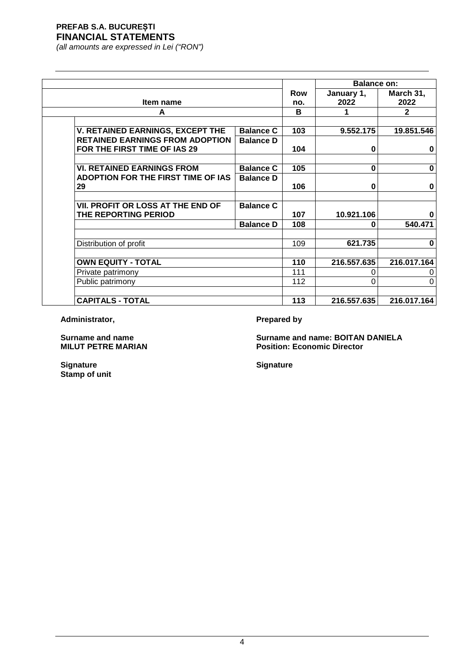*(all amounts are expressed in Lei ("RON")*

|                                                                        |                  |     | <b>Balance on:</b> |              |
|------------------------------------------------------------------------|------------------|-----|--------------------|--------------|
|                                                                        |                  | Row | January 1,         | March 31,    |
| Item name                                                              |                  | no. | 2022               | 2022         |
| A                                                                      |                  | B   |                    | $\mathbf{2}$ |
|                                                                        |                  |     |                    |              |
| V. RETAINED EARNINGS, EXCEPT THE                                       | <b>Balance C</b> | 103 | 9.552.175          | 19.851.546   |
| <b>RETAINED EARNINGS FROM ADOPTION</b><br>FOR THE FIRST TIME OF IAS 29 | <b>Balance D</b> | 104 | 0                  | $\bf{0}$     |
| <b>VI. RETAINED EARNINGS FROM</b>                                      | <b>Balance C</b> | 105 | $\bf{0}$           | $\bf{0}$     |
| ADOPTION FOR THE FIRST TIME OF IAS<br>29                               | <b>Balance D</b> | 106 | 0                  | $\bf{0}$     |
|                                                                        |                  |     |                    |              |
| VII. PROFIT OR LOSS AT THE END OF                                      | <b>Balance C</b> |     |                    |              |
| THE REPORTING PERIOD                                                   |                  | 107 | 10.921.106         |              |
|                                                                        | <b>Balance D</b> | 108 | O                  | 540.471      |
|                                                                        |                  |     | 621.735            | $\bf{0}$     |
| Distribution of profit                                                 |                  | 109 |                    |              |
| <b>OWN EQUITY - TOTAL</b>                                              |                  | 110 | 216.557.635        | 216.017.164  |
| Private patrimony                                                      |                  | 111 | 0                  |              |
| Public patrimony                                                       |                  | 112 | 0                  | 0            |
| <b>CAPITALS - TOTAL</b>                                                |                  | 113 | 216.557.635        | 216.017.164  |

Administrator, **Prepared by** 

**Surname and name Surname and name: BOITAN DANIELA Position: Economic Director** 

**Signature Signature Stamp of unit**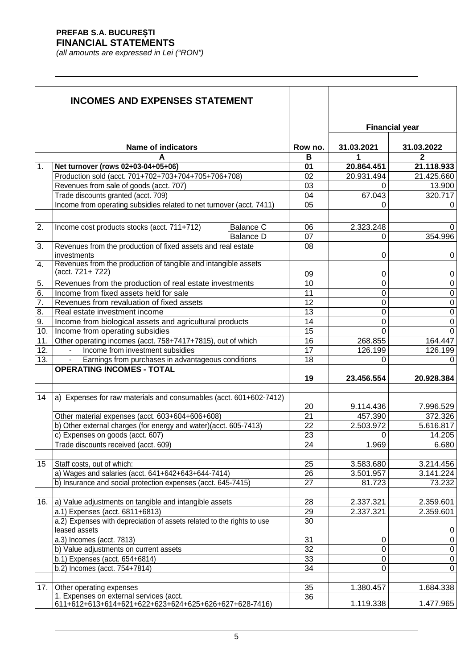|                  | <b>INCOMES AND EXPENSES STATEMENT</b>                                                                       |                  |          |             |                       |
|------------------|-------------------------------------------------------------------------------------------------------------|------------------|----------|-------------|-----------------------|
|                  |                                                                                                             |                  |          |             | <b>Financial year</b> |
|                  | <b>Name of indicators</b>                                                                                   |                  | Row no.  | 31.03.2021  | 31.03.2022            |
|                  |                                                                                                             |                  | в        |             | 2                     |
| 1.               | Net turnover (rows 02+03-04+05+06)                                                                          |                  | 01       | 20.864.451  | 21.118.933            |
|                  | Production sold (acct. 701+702+703+704+705+706+708)                                                         |                  | 02       | 20.931.494  | 21.425.660            |
|                  | Revenues from sale of goods (acct. 707)                                                                     |                  | 03       | 0<br>67.043 | 13.900                |
|                  | Trade discounts granted (acct. 709)<br>Income from operating subsidies related to net turnover (acct. 7411) |                  | 04<br>05 | 0           | 320.717               |
|                  |                                                                                                             |                  |          |             | 0                     |
| 2.               | Income cost products stocks (acct. 711+712)                                                                 | <b>Balance C</b> | 06       | 2.323.248   | 0                     |
|                  |                                                                                                             | <b>Balance D</b> | 07       | 0           | 354.996               |
| 3.               | Revenues from the production of fixed assets and real estate                                                |                  | 08       |             |                       |
|                  | investments                                                                                                 |                  |          | 0           | 0                     |
| 4.               | Revenues from the production of tangible and intangible assets                                              |                  |          |             |                       |
|                  | (acct. 721+722)                                                                                             |                  | 09       | 0           | 0                     |
| 5.               | Revenues from the production of real estate investments                                                     |                  | 10       | 0           | $\boldsymbol{0}$      |
| 6.               | Income from fixed assets held for sale                                                                      |                  | 11       | 0           | $\boldsymbol{0}$      |
| $\overline{7}$ . | Revenues from revaluation of fixed assets                                                                   |                  | 12       | 0           | $\boldsymbol{0}$      |
| 8.               | Real estate investment income                                                                               |                  | 13       | 0           | $\boldsymbol{0}$      |
| 9.               | Income from biological assets and agricultural products                                                     |                  | 14       | 0           | $\boldsymbol{0}$      |
| 10.              | Income from operating subsidies                                                                             |                  | 15       | $\Omega$    | $\Omega$              |
| 11.              | Other operating incomes (acct. 758+7417+7815), out of which                                                 |                  | 16       | 268.855     | 164.447               |
| 12.              | Income from investment subsidies                                                                            |                  | 17       | 126.199     | 126.199               |
| 13.              | Earnings from purchases in advantageous conditions                                                          |                  | 18       | 0           | 0                     |
|                  | <b>OPERATING INCOMES - TOTAL</b>                                                                            |                  | 19       | 23.456.554  | 20.928.384            |
|                  |                                                                                                             |                  |          |             |                       |
| 14               | a) Expenses for raw materials and consumables (acct. 601+602-7412)                                          |                  |          |             |                       |
|                  |                                                                                                             |                  | 20       | 9.114.436   | 7.996.529             |
|                  | Other material expenses (acct. 603+604+606+608)                                                             |                  | 21       | 457.390     | 372.326               |
|                  | b) Other external charges (for energy and water)(acct. 605-7413)                                            |                  | 22       | 2.503.972   | 5.616.817             |
|                  | c) Expenses on goods (acct. 607)                                                                            |                  | 23       | 0           | 14.205                |
|                  | Trade discounts received (acct. 609)                                                                        |                  | 24       | 1.969       | 6.680                 |
| 15               | Staff costs, out of which:                                                                                  |                  | 25       | 3.583.680   | 3.214.456             |
|                  | a) Wages and salaries (acct. 641+642+643+644-7414)                                                          |                  | 26       | 3.501.957   | 3.141.224             |
|                  | b) Insurance and social protection expenses (acct. 645-7415)                                                |                  | 27       | 81.723      | 73.232                |
|                  |                                                                                                             |                  |          |             |                       |
| 16.              | a) Value adjustments on tangible and intangible assets                                                      |                  | 28       | 2.337.321   | 2.359.601             |
|                  | a.1) Expenses (acct. 6811+6813)                                                                             |                  | 29       | 2.337.321   | 2.359.601             |
|                  | a.2) Expenses with depreciation of assets related to the rights to use                                      |                  | 30       |             |                       |
|                  | leased assets                                                                                               |                  |          |             | 0                     |
|                  | a.3) Incomes (acct. 7813)                                                                                   |                  | 31       | 0           | $\boldsymbol{0}$      |
|                  | b) Value adjustments on current assets                                                                      |                  | 32       | 0           | $\boldsymbol{0}$      |
|                  | b.1) Expenses (acct. 654+6814)                                                                              |                  | 33       | 0           | $\boldsymbol{0}$      |
|                  | b.2) Incomes (acct. 754+7814)                                                                               |                  | 34       | $\Omega$    | $\mathbf 0$           |
|                  |                                                                                                             |                  |          |             |                       |
| 17.              | Other operating expenses                                                                                    |                  | 35       | 1.380.457   | 1.684.338             |
|                  | 1. Expenses on external services (acct.<br>611+612+613+614+621+622+623+624+625+626+627+628-7416)            |                  | 36       | 1.119.338   | 1.477.965             |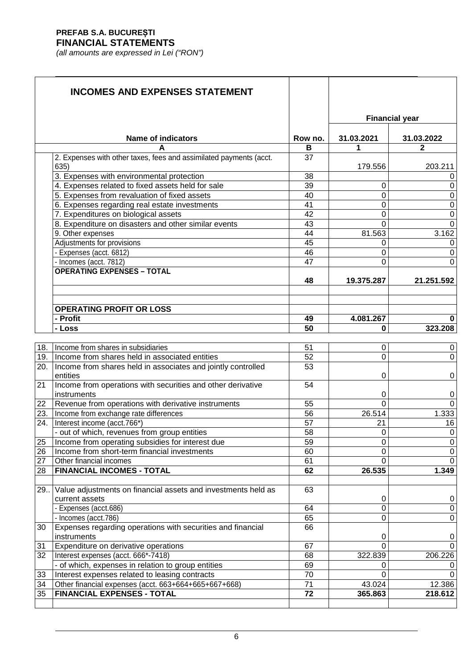|                  | <b>INCOMES AND EXPENSES STATEMENT</b>                              |                 |                 |                       |
|------------------|--------------------------------------------------------------------|-----------------|-----------------|-----------------------|
|                  |                                                                    |                 |                 | <b>Financial year</b> |
|                  | <b>Name of indicators</b>                                          | Row no.<br>в    | 31.03.2021<br>1 | 31.03.2022<br>2       |
|                  | 2. Expenses with other taxes, fees and assimilated payments (acct. | 37              |                 |                       |
|                  | 635)                                                               |                 | 179.556         | 203.211               |
|                  | 3. Expenses with environmental protection                          | 38              |                 | 0                     |
|                  | 4. Expenses related to fixed assets held for sale                  | 39              | 0               | $\mathbf 0$           |
|                  | 5. Expenses from revaluation of fixed assets                       | 40              | 0               | $\mathbf 0$           |
|                  | 6. Expenses regarding real estate investments                      | 41              | $\mathbf 0$     | $\boldsymbol{0}$      |
|                  | 7. Expenditures on biological assets                               | 42              | $\mathbf 0$     | $\mathbf 0$           |
|                  | 8. Expenditure on disasters and other similar events               | 43              | $\Omega$        | $\mathbf 0$           |
|                  | 9. Other expenses                                                  | 44              | 81.563          | 3.162                 |
|                  | Adjustments for provisions                                         | 45              | 0               | 0                     |
|                  | - Expenses (acct. 6812)                                            | 46              | 0               | $\boldsymbol{0}$      |
|                  | - Incomes (acct. 7812)                                             | 47              | $\Omega$        | $\mathbf 0$           |
|                  | <b>OPERATING EXPENSES - TOTAL</b>                                  |                 |                 |                       |
|                  |                                                                    | 48              | 19.375.287      | 21.251.592            |
|                  |                                                                    |                 |                 |                       |
|                  |                                                                    |                 |                 |                       |
|                  | <b>OPERATING PROFIT OR LOSS</b>                                    |                 |                 |                       |
|                  | - Profit                                                           | 49<br>50        | 4.081.267<br>0  | $\bf{0}$<br>323.208   |
|                  | - Loss                                                             |                 |                 |                       |
| 18.              | Income from shares in subsidiaries                                 | 51              | 0               | $\mathbf 0$           |
| 19.              | Income from shares held in associated entities                     | 52              | $\Omega$        | $\mathbf 0$           |
| 20.              | Income from shares held in associates and jointly controlled       | 53              |                 |                       |
|                  | entities                                                           |                 | 0               | $\mathbf 0$           |
| 21               | Income from operations with securities and other derivative        | 54              |                 |                       |
|                  | instruments                                                        |                 | 0               | $\boldsymbol{0}$      |
| 22               | Revenue from operations with derivative instruments                | 55              | $\Omega$        | $\mathbf{0}$          |
| $\overline{2}3.$ | Income from exchange rate differences                              | 56              | 26.514          | 1.333                 |
| 24.              | Interest income (acct.766*)                                        | 57              | 21              | 16                    |
|                  | - out of which, revenues from group entities                       | $\overline{58}$ | $\pmb{0}$       | $\boldsymbol{0}$      |
| 25               | Income from operating subsidies for interest due                   | 59              | $\mathbf 0$     | $\pmb{0}$             |
| $\overline{26}$  | Income from short-term financial investments                       | 60              | $\mathbf 0$     | 0                     |
| 27               | Other financial incomes                                            | 61              | $\Omega$        | $\mathbf{0}$          |
| 28               | <b>FINANCIAL INCOMES - TOTAL</b>                                   | 62              | 26.535          | 1.349                 |
|                  |                                                                    |                 |                 |                       |
| 29               | Value adjustments on financial assets and investments held as      | 63              |                 |                       |
|                  | current assets                                                     |                 | 0               | 0                     |
|                  | - Expenses (acct.686)                                              | 64              | $\mathbf 0$     | 0                     |
|                  | - Incomes (acct.786)                                               | 65              | $\mathbf 0$     | 0                     |
| 30               | Expenses regarding operations with securities and financial        | 66              |                 |                       |
|                  | instruments                                                        |                 | 0               | 0                     |
| 31               | Expenditure on derivative operations                               | 67              | 0               | 0                     |
| 32               | Interest expenses (acct. 666*-7418)                                | 68              | 322.839         | 206.226               |
|                  | - of which, expenses in relation to group entities                 | 69              | 0               | 0                     |
| 33               | Interest expenses related to leasing contracts                     | 70              | 0               | 0                     |
| 34               | Other financial expenses (acct. 663+664+665+667+668)               | 71              | 43.024          | 12.386                |
| 35               | <b>FINANCIAL EXPENSES - TOTAL</b>                                  | 72              | 365.863         | 218.612               |
|                  |                                                                    |                 |                 |                       |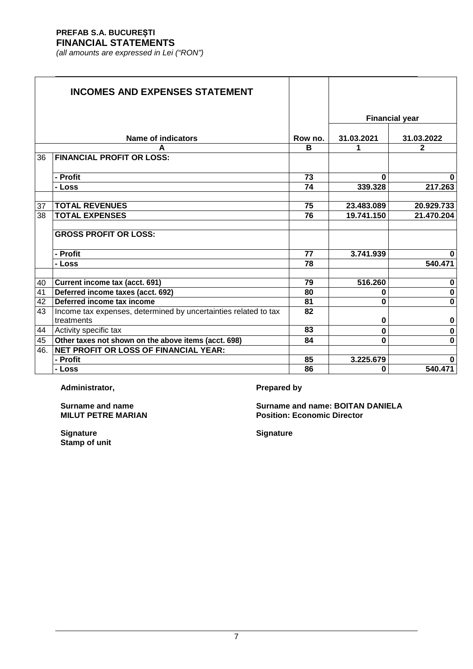*(all amounts are expressed in Lei ("RON")*

|     | <b>INCOMES AND EXPENSES STATEMENT</b>                               |         |            |                       |
|-----|---------------------------------------------------------------------|---------|------------|-----------------------|
|     |                                                                     |         |            | <b>Financial year</b> |
|     |                                                                     |         |            |                       |
|     | Name of indicators                                                  | Row no. | 31.03.2021 | 31.03.2022            |
|     |                                                                     | в       | 1          | $\mathbf{2}$          |
| 36  | <b>FINANCIAL PROFIT OR LOSS:</b>                                    |         |            |                       |
|     |                                                                     |         |            |                       |
|     | - Profit                                                            | 73      | 0          | 0                     |
|     | - Loss                                                              | 74      | 339.328    | 217.263               |
| 37  | <b>TOTAL REVENUES</b>                                               | 75      | 23.483.089 | 20.929.733            |
| 38  | <b>TOTAL EXPENSES</b>                                               | 76      | 19.741.150 | 21.470.204            |
|     |                                                                     |         |            |                       |
|     | <b>GROSS PROFIT OR LOSS:</b>                                        |         |            |                       |
|     | - Profit                                                            | 77      | 3.741.939  | 0                     |
|     | - Loss                                                              | 78      |            | 540.471               |
| 40  |                                                                     | 79      | 516.260    | $\bf{0}$              |
| 41  | Current income tax (acct. 691)<br>Deferred income taxes (acct. 692) | 80      | 0          | $\bf{0}$              |
| 42  | Deferred income tax income                                          | 81      | O          | 0                     |
| 43  | Income tax expenses, determined by uncertainties related to tax     | 82      |            |                       |
|     | treatments                                                          |         | 0          | 0                     |
| 44  | Activity specific tax                                               | 83      | 0          | 0                     |
| 45  | Other taxes not shown on the above items (acct. 698)                | 84      | 0          | $\mathbf 0$           |
| 46. | <b>NET PROFIT OR LOSS OF FINANCIAL YEAR:</b>                        |         |            |                       |
|     | - Profit                                                            | 85      | 3.225.679  | 0                     |
|     | - Loss                                                              | 86      | $\bf{0}$   | 540.471               |

Administrator, **Prepared by** 

**Surname and name Surname and name: BOITAN DANIELA Position: Economic Director** 

**Signature Signature Stamp of unit**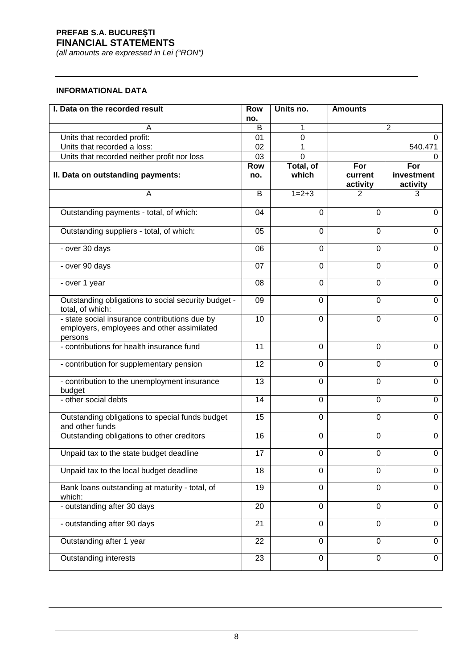*(all amounts are expressed in Lei ("RON")*

#### **INFORMATIONAL DATA**

| I. Data on the recorded result                                                                         | <b>Row</b>        | Units no.          | <b>Amounts</b>             |                               |
|--------------------------------------------------------------------------------------------------------|-------------------|--------------------|----------------------------|-------------------------------|
|                                                                                                        | no.               |                    |                            |                               |
|                                                                                                        | B                 | 1                  |                            | $\overline{2}$                |
| Units that recorded profit:                                                                            | 01                | 0                  |                            | 0                             |
| Units that recorded a loss:                                                                            | 02                | 1                  |                            | 540.471                       |
| Units that recorded neither profit nor loss                                                            | 03                | 0                  |                            | 0                             |
| II. Data on outstanding payments:                                                                      | <b>Row</b><br>no. | Total, of<br>which | For<br>current<br>activity | For<br>investment<br>activity |
| A                                                                                                      | B                 | $1 = 2 + 3$        | 2                          | 3                             |
| Outstanding payments - total, of which:                                                                | 04                | $\Omega$           | $\mathbf 0$                | $\mathbf 0$                   |
| Outstanding suppliers - total, of which:                                                               | 05                | $\Omega$           | 0                          | $\mathbf 0$                   |
| - over 30 days                                                                                         | 06                | 0                  | $\mathbf 0$                | $\overline{0}$                |
| - over 90 days                                                                                         | 07                | 0                  | 0                          | 0                             |
| - over 1 year                                                                                          | 08                | $\Omega$           | 0                          | $\mathbf 0$                   |
| Outstanding obligations to social security budget -<br>total, of which:                                | 09                | $\mathbf 0$        | 0                          | $\mathbf 0$                   |
| - state social insurance contributions due by<br>employers, employees and other assimilated<br>persons | 10                | $\Omega$           | 0                          | $\mathbf 0$                   |
| - contributions for health insurance fund                                                              | 11                | 0                  | 0                          | 0                             |
| - contribution for supplementary pension                                                               | 12                | 0                  | 0                          | 0                             |
| - contribution to the unemployment insurance<br>budget                                                 | 13                | $\Omega$           | $\overline{0}$             | $\mathbf 0$                   |
| - other social debts                                                                                   | 14                | $\Omega$           | 0                          | 0                             |
| Outstanding obligations to special funds budget<br>and other funds                                     | 15                | $\Omega$           | $\mathbf 0$                | $\mathbf 0$                   |
| Outstanding obligations to other creditors                                                             | 16                | $\Omega$           | $\mathbf 0$                | $\mathbf 0$                   |
| Unpaid tax to the state budget deadline                                                                | 17                | $\mathbf 0$        | $\boldsymbol{0}$           | $\pmb{0}$                     |
| Unpaid tax to the local budget deadline                                                                | 18                | 0                  | 0                          | $\mathbf 0$                   |
| Bank loans outstanding at maturity - total, of<br>which:                                               | 19                | $\overline{0}$     | $\mathbf 0$                | $\mathbf 0$                   |
| - outstanding after 30 days                                                                            | 20                | $\mathbf 0$        | 0                          | $\mathbf 0$                   |
| - outstanding after 90 days                                                                            | 21                | 0                  | 0                          | 0                             |
| Outstanding after 1 year                                                                               | 22                | $\Omega$           | 0                          | $\mathbf 0$                   |
| <b>Outstanding interests</b>                                                                           | 23                | $\mathbf 0$        | $\mathbf 0$                | $\mathbf 0$                   |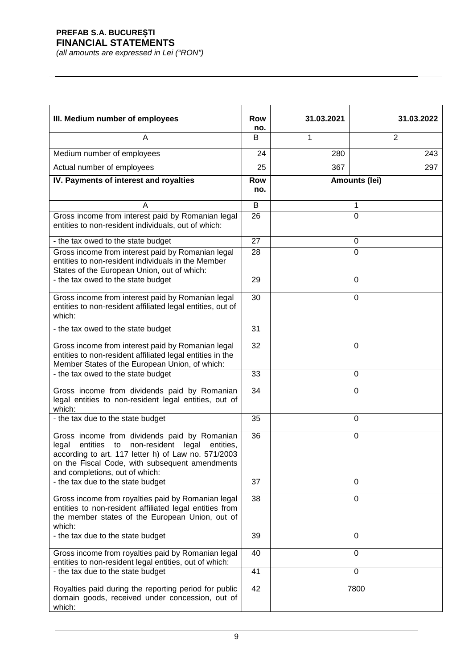| III. Medium number of employees                                                                                                                                                                                                                       | <b>Row</b><br>no. | 31.03.2021 | 31.03.2022     |
|-------------------------------------------------------------------------------------------------------------------------------------------------------------------------------------------------------------------------------------------------------|-------------------|------------|----------------|
| A                                                                                                                                                                                                                                                     | B                 | 1          | $\overline{2}$ |
| Medium number of employees                                                                                                                                                                                                                            | 24                | 280        | 243            |
| Actual number of employees                                                                                                                                                                                                                            | 25                | 367        | 297            |
| IV. Payments of interest and royalties                                                                                                                                                                                                                | Row<br>no.        |            | Amounts (lei)  |
| А                                                                                                                                                                                                                                                     | B                 |            | 1              |
| Gross income from interest paid by Romanian legal<br>entities to non-resident individuals, out of which:                                                                                                                                              | 26                |            | $\mathbf 0$    |
| - the tax owed to the state budget                                                                                                                                                                                                                    | 27                |            | 0              |
| Gross income from interest paid by Romanian legal<br>entities to non-resident individuals in the Member<br>States of the European Union, out of which:                                                                                                | 28                |            | $\overline{0}$ |
| - the tax owed to the state budget                                                                                                                                                                                                                    | 29                |            | 0              |
| Gross income from interest paid by Romanian legal<br>entities to non-resident affiliated legal entities, out of<br>which:                                                                                                                             | 30                |            | $\overline{0}$ |
| - the tax owed to the state budget                                                                                                                                                                                                                    | 31                |            |                |
| Gross income from interest paid by Romanian legal<br>entities to non-resident affiliated legal entities in the<br>Member States of the European Union, of which:                                                                                      | 32                |            | 0              |
| - the tax owed to the state budget                                                                                                                                                                                                                    | 33                |            | 0              |
| Gross income from dividends paid by Romanian<br>legal entities to non-resident legal entities, out of<br>which:                                                                                                                                       | 34                |            | 0              |
| - the tax due to the state budget                                                                                                                                                                                                                     | 35                |            | 0              |
| Gross income from dividends paid by Romanian<br>entities<br>non-resident legal<br>legal<br>to<br>entities,<br>according to art. 117 letter h) of Law no. 571/2003<br>on the Fiscal Code, with subsequent amendments<br>and completions, out of which: | 36                |            | 0              |
| - the tax due to the state budget                                                                                                                                                                                                                     | 37                |            | $\mathbf 0$    |
| Gross income from royalties paid by Romanian legal<br>entities to non-resident affiliated legal entities from<br>the member states of the European Union, out of<br>which:                                                                            | 38                |            | $\mathbf 0$    |
| - the tax due to the state budget                                                                                                                                                                                                                     | 39                |            | 0              |
| Gross income from royalties paid by Romanian legal<br>entities to non-resident legal entities, out of which:                                                                                                                                          | 40                |            | $\mathbf 0$    |
| - the tax due to the state budget                                                                                                                                                                                                                     | 41                |            | $\overline{0}$ |
| Royalties paid during the reporting period for public<br>domain goods, received under concession, out of<br>which:                                                                                                                                    | 42                |            | 7800           |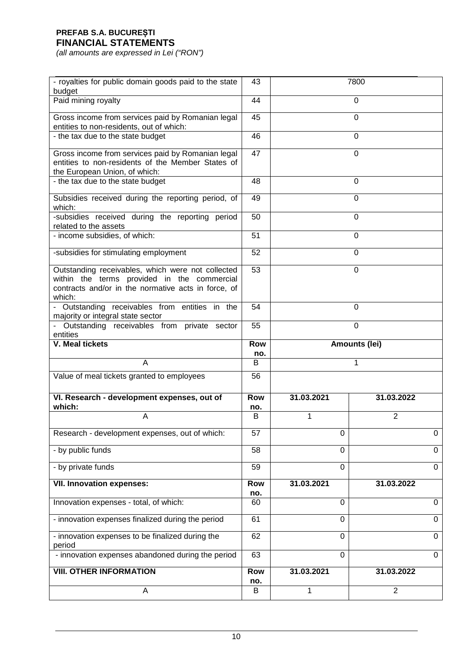| - royalties for public domain goods paid to the state<br>budget                                                                                                   | 43                |                | 7800           |  |
|-------------------------------------------------------------------------------------------------------------------------------------------------------------------|-------------------|----------------|----------------|--|
| Paid mining royalty                                                                                                                                               | 44                |                | 0              |  |
| Gross income from services paid by Romanian legal<br>entities to non-residents, out of which:                                                                     | 45                |                | 0              |  |
| - the tax due to the state budget                                                                                                                                 | 46                |                | 0              |  |
| Gross income from services paid by Romanian legal<br>entities to non-residents of the Member States of<br>the European Union, of which:                           | 47                |                | $\mathbf 0$    |  |
| - the tax due to the state budget                                                                                                                                 | 48                |                | $\mathbf 0$    |  |
| Subsidies received during the reporting period, of<br>which:                                                                                                      | 49                |                | 0              |  |
| -subsidies received during the reporting period<br>related to the assets                                                                                          | 50                |                | 0              |  |
| - income subsidies, of which:                                                                                                                                     | 51                |                | 0              |  |
| -subsidies for stimulating employment                                                                                                                             | 52                |                | $\mathbf 0$    |  |
| Outstanding receivables, which were not collected<br>within the terms provided in the commercial<br>contracts and/or in the normative acts in force, of<br>which: | 53                |                | 0              |  |
| - Outstanding receivables from entities in the<br>majority or integral state sector                                                                               | 54                | 0              |                |  |
| - Outstanding receivables from private sector<br>entities                                                                                                         | 55                | $\overline{0}$ |                |  |
|                                                                                                                                                                   |                   |                |                |  |
| <b>V. Meal tickets</b>                                                                                                                                            | <b>Row</b><br>no. |                | Amounts (lei)  |  |
| Α                                                                                                                                                                 | B                 |                | 1              |  |
| Value of meal tickets granted to employees                                                                                                                        | 56                |                |                |  |
| VI. Research - development expenses, out of<br>which:                                                                                                             | <b>Row</b><br>no. | 31.03.2021     | 31.03.2022     |  |
| A                                                                                                                                                                 | В                 | 1              | $\overline{2}$ |  |
| Research - development expenses, out of which:                                                                                                                    | 57                | 0              | Ü              |  |
| - by public funds                                                                                                                                                 | 58                | 0              | $\mathbf 0$    |  |
| - by private funds                                                                                                                                                | 59                | $\Omega$       | $\Omega$       |  |
| <b>VII. Innovation expenses:</b>                                                                                                                                  | Row               | 31.03.2021     | 31.03.2022     |  |
| Innovation expenses - total, of which:                                                                                                                            | no.<br>60         | $\Omega$       | $\mathbf 0$    |  |
| - innovation expenses finalized during the period                                                                                                                 | 61                | 0              | 0              |  |
| - innovation expenses to be finalized during the<br>period                                                                                                        | 62                | $\Omega$       | $\mathbf 0$    |  |
| - innovation expenses abandoned during the period                                                                                                                 | 63                | $\mathbf 0$    | $\mathbf 0$    |  |
| <b>VIII. OTHER INFORMATION</b>                                                                                                                                    | <b>Row</b><br>no. | 31.03.2021     | 31.03.2022     |  |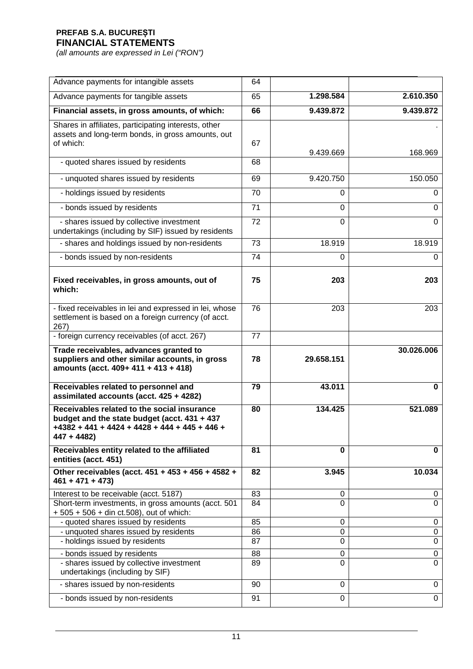| Advance payments for intangible assets                                                                                                                         | 64 |                |            |
|----------------------------------------------------------------------------------------------------------------------------------------------------------------|----|----------------|------------|
| Advance payments for tangible assets                                                                                                                           | 65 | 1.298.584      | 2.610.350  |
| Financial assets, in gross amounts, of which:                                                                                                                  | 66 | 9.439.872      | 9.439.872  |
| Shares in affiliates, participating interests, other<br>assets and long-term bonds, in gross amounts, out<br>of which:                                         | 67 | 9.439.669      | 168.969    |
| - quoted shares issued by residents                                                                                                                            | 68 |                |            |
| - unquoted shares issued by residents                                                                                                                          | 69 | 9.420.750      | 150.050    |
| - holdings issued by residents                                                                                                                                 | 70 | $\Omega$       | 0          |
| - bonds issued by residents                                                                                                                                    | 71 | $\Omega$       | 0          |
| - shares issued by collective investment<br>undertakings (including by SIF) issued by residents                                                                | 72 | $\overline{0}$ | $\Omega$   |
| - shares and holdings issued by non-residents                                                                                                                  | 73 | 18.919         | 18.919     |
| - bonds issued by non-residents                                                                                                                                | 74 | 0              | 0          |
| Fixed receivables, in gross amounts, out of<br>which:                                                                                                          | 75 | 203            | 203        |
| - fixed receivables in lei and expressed in lei, whose<br>settlement is based on a foreign currency (of acct.<br>267)                                          | 76 | 203            | 203        |
| - foreign currency receivables (of acct. 267)                                                                                                                  | 77 |                |            |
| Trade receivables, advances granted to<br>suppliers and other similar accounts, in gross<br>amounts (acct. 409+ 411 + 413 + 418)                               | 78 | 29.658.151     | 30.026.006 |
| Receivables related to personnel and<br>assimilated accounts (acct. 425 + 4282)                                                                                | 79 | 43.011         | 0          |
| Receivables related to the social insurance<br>budget and the state budget (acct. 431 + 437<br>$+4382 + 441 + 4424 + 4428 + 444 + 445 + 446 +$<br>$447 + 4482$ | 80 | 134.425        | 521.089    |
| Receivables entity related to the affiliated<br>entities (acct. 451)                                                                                           | 81 | $\bf{0}$       | 0          |
| Other receivables (acct. 451 + 453 + 456 + 4582 +<br>$461 + 471 + 473$                                                                                         | 82 | 3.945          | 10.034     |
| Interest to be receivable (acct. 5187)                                                                                                                         | 83 | 0              | 0          |
| Short-term investments, in gross amounts (acct. 501<br>+ 505 + 506 + din ct.508), out of which:                                                                | 84 | $\Omega$       | $\Omega$   |
| - quoted shares issued by residents                                                                                                                            | 85 | 0              | 0          |
| - unquoted shares issued by residents                                                                                                                          | 86 | $\mathbf 0$    | 0          |
| - holdings issued by residents                                                                                                                                 | 87 | $\Omega$       | 0          |
| - bonds issued by residents                                                                                                                                    | 88 | 0              | 0          |
| - shares issued by collective investment<br>undertakings (including by SIF)                                                                                    | 89 | $\Omega$       | $\Omega$   |
| - shares issued by non-residents                                                                                                                               | 90 | $\Omega$       | 0          |
| - bonds issued by non-residents                                                                                                                                | 91 | $\Omega$       | 0          |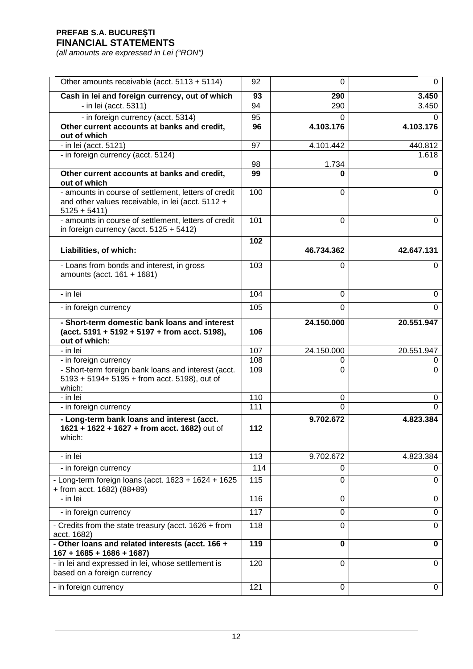| Other amounts receivable (acct. 5113 + 5114)                                                                               | 92  | $\Omega$       | $\mathbf 0$    |
|----------------------------------------------------------------------------------------------------------------------------|-----|----------------|----------------|
| Cash in lei and foreign currency, out of which                                                                             | 93  | 290            | 3.450          |
| - in lei (acct. 5311)                                                                                                      | 94  | 290            | 3.450          |
| - in foreign currency (acct. 5314)                                                                                         | 95  | 0              | 0              |
| Other current accounts at banks and credit,<br>out of which                                                                | 96  | 4.103.176      | 4.103.176      |
| - in lei (acct. 5121)                                                                                                      | 97  | 4.101.442      | 440.812        |
| - in foreign currency (acct. 5124)                                                                                         |     |                | 1.618          |
|                                                                                                                            | 98  | 1.734          |                |
| Other current accounts at banks and credit,<br>out of which                                                                | 99  | n              | 0              |
| - amounts in course of settlement, letters of credit<br>and other values receivable, in lei (acct. 5112 +<br>$5125 + 5411$ | 100 | 0              | $\Omega$       |
| - amounts in course of settlement, letters of credit<br>in foreign currency (acct. $5125 + 5412$ )                         | 101 | 0              | $\Omega$       |
|                                                                                                                            | 102 |                |                |
| Liabilities, of which:                                                                                                     |     | 46.734.362     | 42.647.131     |
| - Loans from bonds and interest, in gross<br>amounts (acct. 161 + 1681)                                                    | 103 | 0              | 0              |
| - in lei                                                                                                                   | 104 | $\Omega$       | 0              |
| - in foreign currency                                                                                                      | 105 | 0              | $\Omega$       |
| - Short-term domestic bank loans and interest<br>(acct. 5191 + 5192 + 5197 + from acct. 5198),<br>out of which:            | 106 | 24.150.000     | 20.551.947     |
| - in lei                                                                                                                   | 107 | 24.150.000     | 20.551.947     |
| - in foreign currency                                                                                                      | 108 | 0              | 0              |
| - Short-term foreign bank loans and interest (acct.<br>$5193 + 5194 + 5195 +$ from acct. 5198), out of<br>which:           | 109 | 0              | 0              |
| - in lei                                                                                                                   | 110 | 0              | 0              |
| - in foreign currency                                                                                                      | 111 | 0              | $\Omega$       |
| - Long-term bank loans and interest (acct.<br>1621 + 1622 + 1627 + from acct. 1682) out of<br>which:                       | 112 | 9.702.672      | 4.823.384      |
| - in lei                                                                                                                   | 113 | 9.702.672      | 4.823.384      |
| - in foreign currency                                                                                                      | 114 | 0              | 0              |
| - Long-term foreign loans (acct. 1623 + 1624 + 1625<br>+ from acct. 1682) (88+89)                                          | 115 | $\Omega$       | $\Omega$       |
| - in lei                                                                                                                   | 116 | $\Omega$       | 0              |
| - in foreign currency                                                                                                      | 117 | $\Omega$       | $\overline{0}$ |
| - Credits from the state treasury (acct. 1626 + from<br>acct. 1682)                                                        | 118 | 0              | $\Omega$       |
| - Other loans and related interests (acct. 166 +<br>$167 + 1685 + 1686 + 1687$                                             | 119 | $\bf{0}$       | $\mathbf 0$    |
| - in lei and expressed in lei, whose settlement is                                                                         | 120 | $\overline{0}$ | $\mathbf 0$    |
| based on a foreign currency                                                                                                |     |                |                |
| - in foreign currency                                                                                                      | 121 | $\Omega$       | 0              |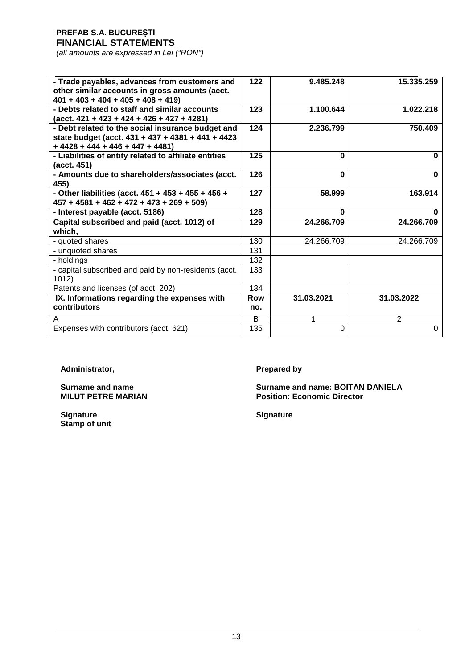*(all amounts are expressed in Lei ("RON")*

| - Trade payables, advances from customers and<br>other similar accounts in gross amounts (acct.<br>$401 + 403 + 404 + 405 + 408 + 419$     | $122$             | 9.485.248  | 15.335.259     |
|--------------------------------------------------------------------------------------------------------------------------------------------|-------------------|------------|----------------|
| - Debts related to staff and similar accounts<br>$(\text{acct. } 421 + 423 + 424 + 426 + 427 + 4281)$                                      | 123               | 1.100.644  | 1.022.218      |
| - Debt related to the social insurance budget and<br>state budget (acct. 431 + 437 + 4381 + 441 + 4423<br>$+4428 + 444 + 446 + 447 + 4481$ | 124               | 2.236.799  | 750.409        |
| - Liabilities of entity related to affiliate entities<br>(acct. 451)                                                                       | 125               | 0          | O              |
| - Amounts due to shareholders/associates (acct.<br>455)                                                                                    | 126               | $\bf{0}$   | $\bf{0}$       |
| - Other liabilities (acct. 451 + 453 + 455 + 456 +<br>$457 + 4581 + 462 + 472 + 473 + 269 + 509$                                           | $\overline{127}$  | 58.999     | 163.914        |
| - Interest payable (acct. 5186)                                                                                                            | 128               | 0          | U              |
| Capital subscribed and paid (acct. 1012) of                                                                                                | 129               | 24.266.709 | 24.266.709     |
| which,                                                                                                                                     |                   |            |                |
| - quoted shares                                                                                                                            | 130               | 24.266.709 | 24.266.709     |
| - unquoted shares                                                                                                                          | 131               |            |                |
| - holdings                                                                                                                                 | 132               |            |                |
| - capital subscribed and paid by non-residents (acct.<br>1012)                                                                             | 133               |            |                |
| Patents and licenses (of acct. 202)                                                                                                        | 134               |            |                |
| IX. Informations regarding the expenses with<br>contributors                                                                               | <b>Row</b><br>no. | 31.03.2021 | 31.03.2022     |
| A                                                                                                                                          | B                 | 1          | $\overline{2}$ |

Administrator, **Prepared by** 

**Signature Signature Stamp of unit**

**Surname and name Surname and name: BOITAN DANIELA MILUT PETRE MARIAN Position: Economic Director**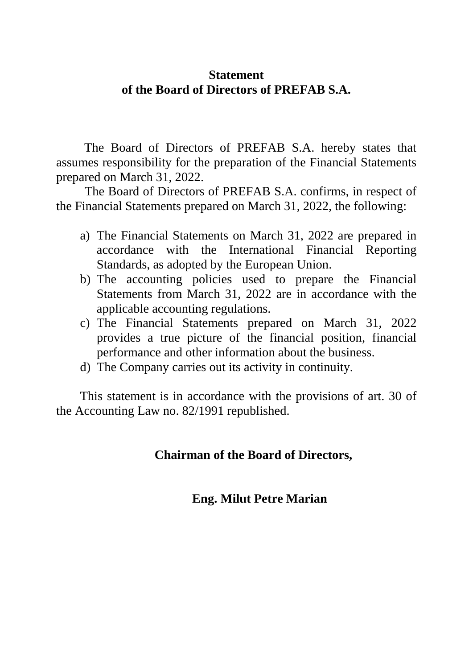# **Statement of the Board of Directors of PREFAB S.A.**

The Board of Directors of PREFAB S.A. hereby states that assumes responsibility for the preparation of the Financial Statements prepared on March 31, 2022.

 The Board of Directors of PREFAB S.A. confirms, in respect of the Financial Statements prepared on March 31, 2022, the following:

- a) The Financial Statements on March 31, 2022 are prepared in accordance with the International Financial Reporting Standards, as adopted by the European Union.
- b) The accounting policies used to prepare the Financial Statements from March 31, 2022 are in accordance with the applicable accounting regulations.
- c) The Financial Statements prepared on March 31, 2022 provides a true picture of the financial position, financial performance and other information about the business.
- d) The Company carries out its activity in continuity.

This statement is in accordance with the provisions of art. 30 of the Accounting Law no. 82/1991 republished.

# **Chairman of the Board of Directors,**

# **Eng. Milut Petre Marian**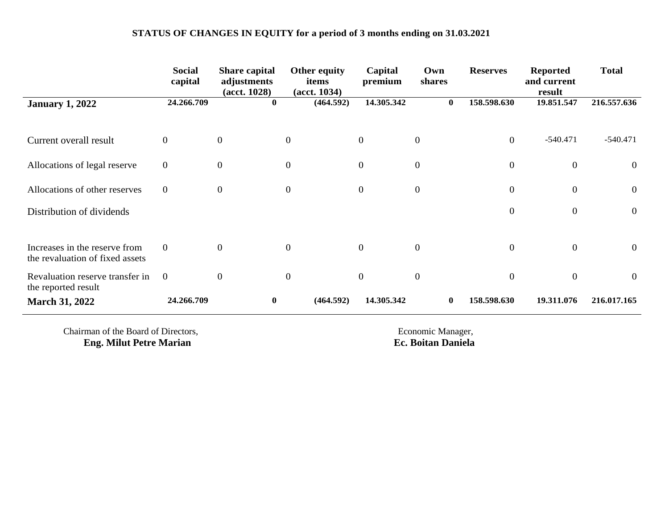# **STATUS OF CHANGES IN EQUITY for a period of 3 months ending on 31.03.2021**

|                                                                  | <b>Social</b><br>capital | <b>Share capital</b><br>adjustments<br>$(\text{act. } 1028)$ | Other equity<br>items<br>$(\text{act. } 1034)$ | Capital<br>premium | Own<br>shares    | <b>Reserves</b> | <b>Reported</b><br>and current<br>result | <b>Total</b>     |
|------------------------------------------------------------------|--------------------------|--------------------------------------------------------------|------------------------------------------------|--------------------|------------------|-----------------|------------------------------------------|------------------|
| <b>January 1, 2022</b>                                           | 24.266.709               | $\bf{0}$                                                     | (464.592)                                      | 14.305.342         | $\mathbf{0}$     | 158.598.630     | 19.851.547                               | 216.557.636      |
| Current overall result                                           | $\overline{0}$           | $\mathbf{0}$                                                 | $\overline{0}$                                 | $\mathbf{0}$       | $\boldsymbol{0}$ | $\overline{0}$  | $-540.471$                               | $-540.471$       |
| Allocations of legal reserve                                     | $\overline{0}$           | $\boldsymbol{0}$                                             | $\boldsymbol{0}$                               | $\overline{0}$     | $\boldsymbol{0}$ | $\mathbf{0}$    | $\overline{0}$                           | $\overline{0}$   |
| Allocations of other reserves                                    | $\overline{0}$           | $\mathbf{0}$                                                 | $\mathbf{0}$                                   | $\mathbf{0}$       | $\boldsymbol{0}$ | $\mathbf{0}$    | $\overline{0}$                           | $\boldsymbol{0}$ |
| Distribution of dividends                                        |                          |                                                              |                                                |                    |                  | $\mathbf{0}$    | $\overline{0}$                           | $\overline{0}$   |
| Increases in the reserve from<br>the revaluation of fixed assets | $\overline{0}$           | $\overline{0}$                                               | $\overline{0}$                                 | $\overline{0}$     | $\mathbf{0}$     | $\mathbf{0}$    | $\overline{0}$                           | $\overline{0}$   |
| Revaluation reserve transfer in<br>the reported result           | $\overline{0}$           | $\theta$                                                     | $\boldsymbol{0}$                               | $\mathbf{0}$       | $\boldsymbol{0}$ | $\overline{0}$  | $\overline{0}$                           | $\mathbf{0}$     |
| <b>March 31, 2022</b>                                            | 24.266.709               | $\bf{0}$                                                     | (464.592)                                      | 14.305.342         | $\bf{0}$         | 158.598.630     | 19.311.076                               | 216.017.165      |

Chairman of the Board of Directors,<br> **Exercise 2018** Economic Manager,<br> **Exercise 2018** Economic Manager,<br> **Exercise 2018** Economic Manager,<br> **Exercise 2018** Economic Manager, **Eng. Milut Petre Marian**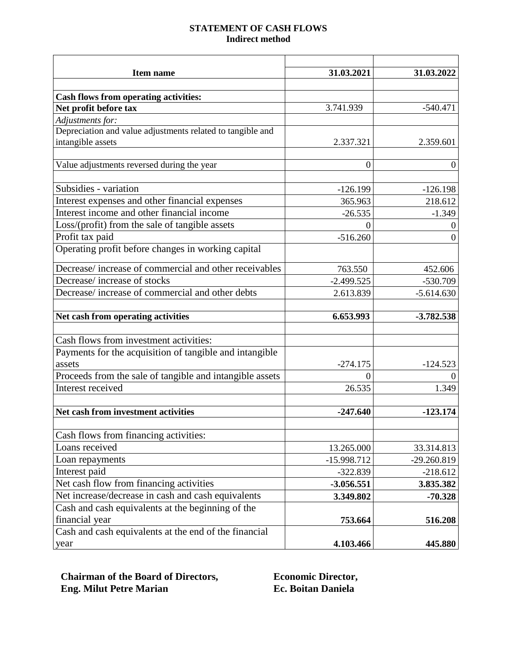#### **STATEMENT OF CASH FLOWS Indirect method**

| Item name                                                  | 31.03.2021       | 31.03.2022       |
|------------------------------------------------------------|------------------|------------------|
|                                                            |                  |                  |
| <b>Cash flows from operating activities:</b>               |                  |                  |
| Net profit before tax                                      | 3.741.939        | $-540.471$       |
| Adjustments for:                                           |                  |                  |
| Depreciation and value adjustments related to tangible and |                  |                  |
| intangible assets                                          | 2.337.321        | 2.359.601        |
|                                                            |                  |                  |
| Value adjustments reversed during the year                 | $\boldsymbol{0}$ | $\boldsymbol{0}$ |
|                                                            |                  |                  |
| Subsidies - variation                                      | $-126.199$       | $-126.198$       |
| Interest expenses and other financial expenses             | 365.963          | 218.612          |
| Interest income and other financial income                 | $-26.535$        | $-1.349$         |
| Loss/(profit) from the sale of tangible assets             | $\theta$         | 0                |
| Profit tax paid                                            | $-516.260$       | 0                |
| Operating profit before changes in working capital         |                  |                  |
| Decrease/increase of commercial and other receivables      | 763.550          | 452.606          |
| Decrease/increase of stocks                                | $-2.499.525$     | -530.709         |
| Decrease/increase of commercial and other debts            | 2.613.839        | $-5.614.630$     |
|                                                            |                  |                  |
| Net cash from operating activities                         | 6.653.993        | $-3.782.538$     |
|                                                            |                  |                  |
| Cash flows from investment activities:                     |                  |                  |
| Payments for the acquisition of tangible and intangible    |                  |                  |
| assets                                                     | $-274.175$       | $-124.523$       |
| Proceeds from the sale of tangible and intangible assets   | 0                |                  |
| Interest received                                          | 26.535           | 1.349            |
|                                                            |                  |                  |
| Net cash from investment activities                        | $-247.640$       | $-123.174$       |
| Cash flows from financing activities:                      |                  |                  |
| Loans received                                             | 13.265.000       | 33.314.813       |
| Loan repayments                                            | $-15.998.712$    | -29.260.819      |
| Interest paid                                              | $-322.839$       | $-218.612$       |
| Net cash flow from financing activities                    | $-3.056.551$     | 3.835.382        |
| Net increase/decrease in cash and cash equivalents         | 3.349.802        | $-70.328$        |
| Cash and cash equivalents at the beginning of the          |                  |                  |
| financial year                                             | 753.664          | 516.208          |
| Cash and cash equivalents at the end of the financial      |                  |                  |
| year                                                       | 4.103.466        | 445.880          |

**Chairman of the Board of Directors, Economic Director,<br>
Economic Director, Eng. Milut Petre Marian banicla Eng. Milut Petre Marian**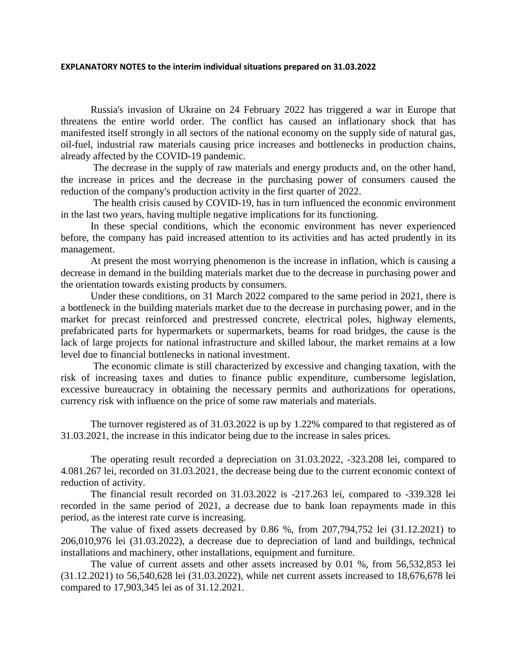#### **EXPLANATORY NOTES to the interim individual situations prepared on 31.03.2022**

Russia's invasion of Ukraine on 24 February 2022 has triggered a war in Europe that threatens the entire world order. The conflict has caused an inflationary shock that has manifested itself strongly in all sectors of the national economy on the supply side of natural gas, oil-fuel, industrial raw materials causing price increases and bottlenecks in production chains, already affected by the COVID-19 pandemic.

The decrease in the supply of raw materials and energy products and, on the other hand, the increase in prices and the decrease in the purchasing power of consumers caused the reduction of the company's production activity in the first quarter of 2022.

The health crisis caused by COVID-19, has in turn influenced the economic environment in the last two years, having multiple negative implications for its functioning.

In these special conditions, which the economic environment has never experienced before, the company has paid increased attention to its activities and has acted prudently in its management.

At present the most worrying phenomenon is the increase in inflation, which is causing a decrease in demand in the building materials market due to the decrease in purchasing power and the orientation towards existing products by consumers.

Under these conditions, on 31 March 2022 compared to the same period in 2021, there is a bottleneck in the building materials market due to the decrease in purchasing power, and in the market for precast reinforced and prestressed concrete, electrical poles, highway elements, prefabricated parts for hypermarkets or supermarkets, beams for road bridges, the cause is the lack of large projects for national infrastructure and skilled labour, the market remains at a low level due to financial bottlenecks in national investment.

The economic climate is still characterized by excessive and changing taxation, with the risk of increasing taxes and duties to finance public expenditure, cumbersome legislation, excessive bureaucracy in obtaining the necessary permits and authorizations for operations, currency risk with influence on the price of some raw materials and materials.

The turnover registered as of 31.03.2022 is up by 1.22% compared to that registered as of 31.03.2021, the increase in this indicator being due to the increase in sales prices.

The operating result recorded a depreciation on 31.03.2022, -323.208 lei, compared to 4.081.267 lei, recorded on 31.03.2021, the decrease being due to the current economic context of reduction of activity.

The financial result recorded on 31.03.2022 is -217.263 lei, compared to -339.328 lei recorded in the same period of 2021, a decrease due to bank loan repayments made in this period, as the interest rate curve is increasing.

The value of fixed assets decreased by 0.86 %, from 207,794,752 lei (31.12.2021) to 206,010,976 lei (31.03.2022), a decrease due to depreciation of land and buildings, technical installations and machinery, other installations, equipment and furniture.

The value of current assets and other assets increased by 0.01 %, from 56,532,853 lei (31.12.2021) to 56,540,628 lei (31.03.2022), while net current assets increased to 18,676,678 lei compared to 17,903,345 lei as of 31.12.2021.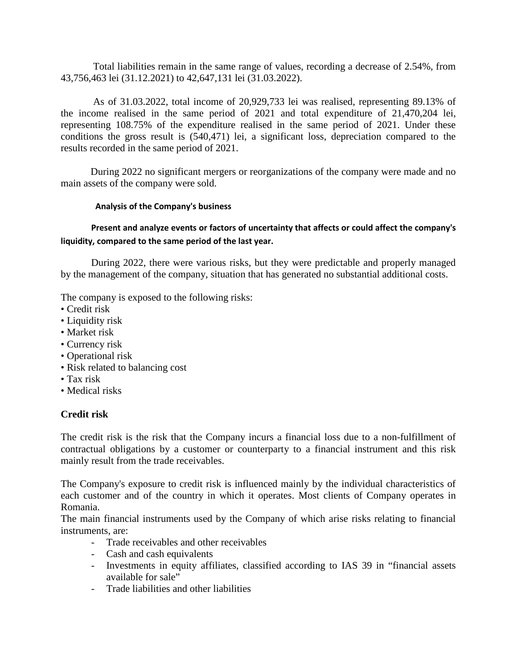Total liabilities remain in the same range of values, recording a decrease of 2.54%, from 43,756,463 lei (31.12.2021) to 42,647,131 lei (31.03.2022).

As of 31.03.2022, total income of 20,929,733 lei was realised, representing 89.13% of the income realised in the same period of 2021 and total expenditure of 21,470,204 lei, representing 108.75% of the expenditure realised in the same period of 2021. Under these conditions the gross result is (540,471) lei, a significant loss, depreciation compared to the results recorded in the same period of 2021.

During 2022 no significant mergers or reorganizations of the company were made and no main assets of the company were sold.

#### **Analysis of the Company's business**

#### **Present and analyze events or factors of uncertainty that affects or could affect the company's liquidity, compared to the same period of the last year.**

 During 2022, there were various risks, but they were predictable and properly managed by the management of the company, situation that has generated no substantial additional costs.

The company is exposed to the following risks:

- Credit risk
- Liquidity risk
- Market risk
- Currency risk
- Operational risk
- Risk related to balancing cost
- Tax risk
- Medical risks

# **Credit risk**

The credit risk is the risk that the Company incurs a financial loss due to a non-fulfillment of contractual obligations by a customer or counterparty to a financial instrument and this risk mainly result from the trade receivables.

The Company's exposure to credit risk is influenced mainly by the individual characteristics of each customer and of the country in which it operates. Most clients of Company operates in Romania.

The main financial instruments used by the Company of which arise risks relating to financial instruments, are:

- Trade receivables and other receivables
- Cash and cash equivalents
- Investments in equity affiliates, classified according to IAS 39 in "financial assets available for sale"
- Trade liabilities and other liabilities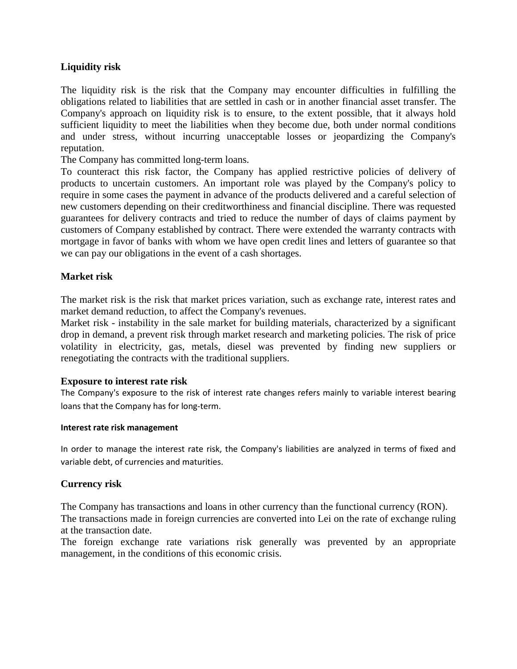#### **Liquidity risk**

The liquidity risk is the risk that the Company may encounter difficulties in fulfilling the obligations related to liabilities that are settled in cash or in another financial asset transfer. The Company's approach on liquidity risk is to ensure, to the extent possible, that it always hold sufficient liquidity to meet the liabilities when they become due, both under normal conditions and under stress, without incurring unacceptable losses or jeopardizing the Company's reputation.

The Company has committed long-term loans.

To counteract this risk factor, the Company has applied restrictive policies of delivery of products to uncertain customers. An important role was played by the Company's policy to require in some cases the payment in advance of the products delivered and a careful selection of new customers depending on their creditworthiness and financial discipline. There was requested guarantees for delivery contracts and tried to reduce the number of days of claims payment by customers of Company established by contract. There were extended the warranty contracts with mortgage in favor of banks with whom we have open credit lines and letters of guarantee so that we can pay our obligations in the event of a cash shortages.

#### **Market risk**

The market risk is the risk that market prices variation, such as exchange rate, interest rates and market demand reduction, to affect the Company's revenues.

Market risk - instability in the sale market for building materials, characterized by a significant drop in demand, a prevent risk through market research and marketing policies. The risk of price volatility in electricity, gas, metals, diesel was prevented by finding new suppliers or renegotiating the contracts with the traditional suppliers.

#### **Exposure to interest rate risk**

The Company's exposure to the risk of interest rate changes refers mainly to variable interest bearing loans that the Company has for long-term.

#### **Interest rate risk management**

In order to manage the interest rate risk, the Company's liabilities are analyzed in terms of fixed and variable debt, of currencies and maturities.

#### **Currency risk**

The Company has transactions and loans in other currency than the functional currency (RON). The transactions made in foreign currencies are converted into Lei on the rate of exchange ruling at the transaction date.

The foreign exchange rate variations risk generally was prevented by an appropriate management, in the conditions of this economic crisis.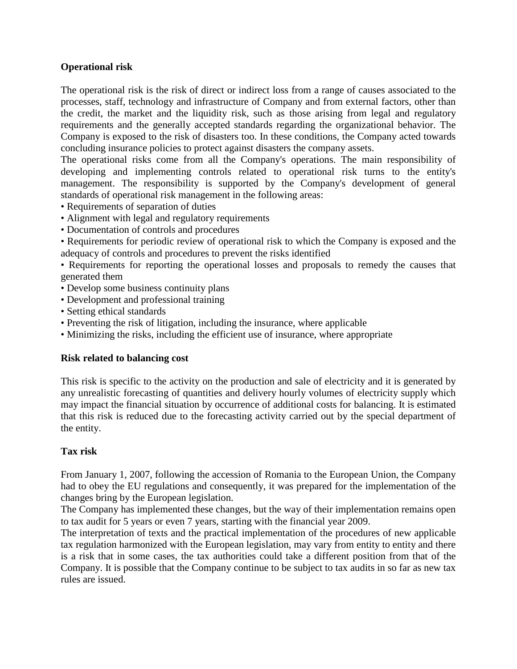#### **Operational risk**

The operational risk is the risk of direct or indirect loss from a range of causes associated to the processes, staff, technology and infrastructure of Company and from external factors, other than the credit, the market and the liquidity risk, such as those arising from legal and regulatory requirements and the generally accepted standards regarding the organizational behavior. The Company is exposed to the risk of disasters too. In these conditions, the Company acted towards concluding insurance policies to protect against disasters the company assets.

The operational risks come from all the Company's operations. The main responsibility of developing and implementing controls related to operational risk turns to the entity's management. The responsibility is supported by the Company's development of general standards of operational risk management in the following areas:

- Requirements of separation of duties
- Alignment with legal and regulatory requirements
- Documentation of controls and procedures
- Requirements for periodic review of operational risk to which the Company is exposed and the adequacy of controls and procedures to prevent the risks identified
- Requirements for reporting the operational losses and proposals to remedy the causes that generated them
- Develop some business continuity plans
- Development and professional training
- Setting ethical standards
- Preventing the risk of litigation, including the insurance, where applicable
- Minimizing the risks, including the efficient use of insurance, where appropriate

#### **Risk related to balancing cost**

This risk is specific to the activity on the production and sale of electricity and it is generated by any unrealistic forecasting of quantities and delivery hourly volumes of electricity supply which may impact the financial situation by occurrence of additional costs for balancing. It is estimated that this risk is reduced due to the forecasting activity carried out by the special department of the entity.

# **Tax risk**

From January 1, 2007, following the accession of Romania to the European Union, the Company had to obey the EU regulations and consequently, it was prepared for the implementation of the changes bring by the European legislation.

The Company has implemented these changes, but the way of their implementation remains open to tax audit for 5 years or even 7 years, starting with the financial year 2009.

The interpretation of texts and the practical implementation of the procedures of new applicable tax regulation harmonized with the European legislation, may vary from entity to entity and there is a risk that in some cases, the tax authorities could take a different position from that of the Company. It is possible that the Company continue to be subject to tax audits in so far as new tax rules are issued.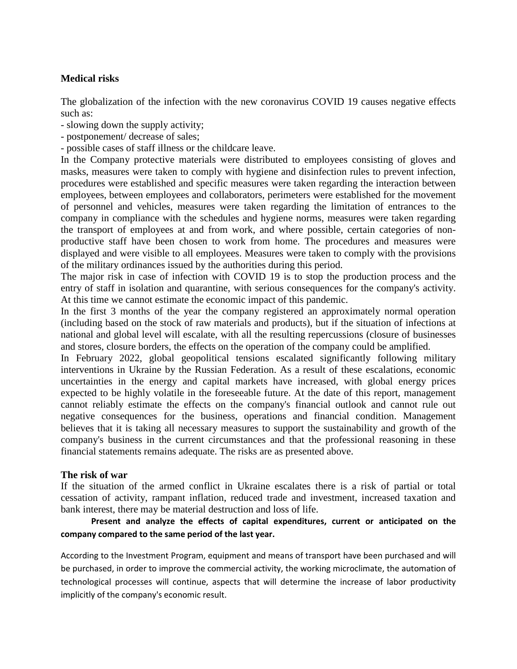#### **Medical risks**

The globalization of the infection with the new coronavirus COVID 19 causes negative effects such as:

- slowing down the supply activity;
- postponement/ decrease of sales;
- possible cases of staff illness or the childcare leave.

In the Company protective materials were distributed to employees consisting of gloves and masks, measures were taken to comply with hygiene and disinfection rules to prevent infection, procedures were established and specific measures were taken regarding the interaction between employees, between employees and collaborators, perimeters were established for the movement of personnel and vehicles, measures were taken regarding the limitation of entrances to the company in compliance with the schedules and hygiene norms, measures were taken regarding the transport of employees at and from work, and where possible, certain categories of nonproductive staff have been chosen to work from home. The procedures and measures were displayed and were visible to all employees. Measures were taken to comply with the provisions of the military ordinances issued by the authorities during this period.

The major risk in case of infection with COVID 19 is to stop the production process and the entry of staff in isolation and quarantine, with serious consequences for the company's activity. At this time we cannot estimate the economic impact of this pandemic.

In the first 3 months of the year the company registered an approximately normal operation (including based on the stock of raw materials and products), but if the situation of infections at national and global level will escalate, with all the resulting repercussions (closure of businesses and stores, closure borders, the effects on the operation of the company could be amplified.

In February 2022, global geopolitical tensions escalated significantly following military interventions in Ukraine by the Russian Federation. As a result of these escalations, economic uncertainties in the energy and capital markets have increased, with global energy prices expected to be highly volatile in the foreseeable future. At the date of this report, management cannot reliably estimate the effects on the company's financial outlook and cannot rule out negative consequences for the business, operations and financial condition. Management believes that it is taking all necessary measures to support the sustainability and growth of the company's business in the current circumstances and that the professional reasoning in these financial statements remains adequate. The risks are as presented above.

#### **The risk of war**

If the situation of the armed conflict in Ukraine escalates there is a risk of partial or total cessation of activity, rampant inflation, reduced trade and investment, increased taxation and bank interest, there may be material destruction and loss of life.

# **Present and analyze the effects of capital expenditures, current or anticipated on the company compared to the same period of the last year.**

According to the Investment Program, equipment and means of transport have been purchased and will be purchased, in order to improve the commercial activity, the working microclimate, the automation of technological processes will continue, aspects that will determine the increase of labor productivity implicitly of the company's economic result.